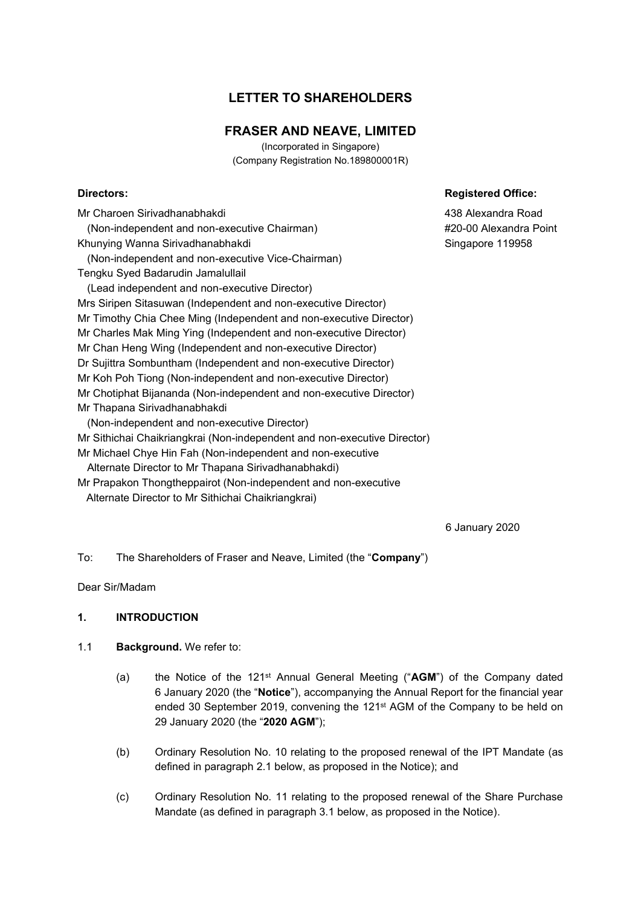# **LETTER TO SHAREHOLDERS**

# **FRASER AND NEAVE, LIMITED**

(Incorporated in Singapore) (Company Registration No.189800001R)

## **Directors:** Registered Office:

Mr Charoen Sirivadhanabhakdi (Non-independent and non-executive Chairman) Khunying Wanna Sirivadhanabhakdi (Non-independent and non-executive Vice-Chairman) Tengku Syed Badarudin Jamalullail (Lead independent and non-executive Director) Mrs Siripen Sitasuwan (Independent and non-executive Director) Mr Timothy Chia Chee Ming (Independent and non-executive Director) Mr Charles Mak Ming Ying (Independent and non-executive Director) Mr Chan Heng Wing (Independent and non-executive Director) Dr Sujittra Sombuntham (Independent and non-executive Director) Mr Koh Poh Tiong (Non-independent and non-executive Director) Mr Chotiphat Bijananda (Non-independent and non-executive Director) Mr Thapana Sirivadhanabhakdi (Non-independent and non-executive Director) Mr Sithichai Chaikriangkrai (Non-independent and non-executive Director) Mr Michael Chye Hin Fah (Non-independent and non-executive Alternate Director to Mr Thapana Sirivadhanabhakdi)

Mr Prapakon Thongtheppairot (Non-independent and non-executive

Alternate Director to Mr Sithichai Chaikriangkrai)

438 Alexandra Road #20-00 Alexandra Point Singapore 119958

6 January 2020

To: The Shareholders of Fraser and Neave, Limited (the "**Company**")

Dear Sir/Madam

### **1. INTRODUCTION**

### 1.1 **Background.** We refer to:

- (a) the Notice of the 121st Annual General Meeting ("**AGM**") of the Company dated 6 January 2020 (the "**Notice**"), accompanying the Annual Report for the financial year ended 30 September 2019, convening the 121st AGM of the Company to be held on 29 January 2020 (the "**2020 AGM**");
- (b) Ordinary Resolution No. 10 relating to the proposed renewal of the IPT Mandate (as defined in paragraph 2.1 below, as proposed in the Notice); and
- (c) Ordinary Resolution No. 11 relating to the proposed renewal of the Share Purchase Mandate (as defined in paragraph 3.1 below, as proposed in the Notice).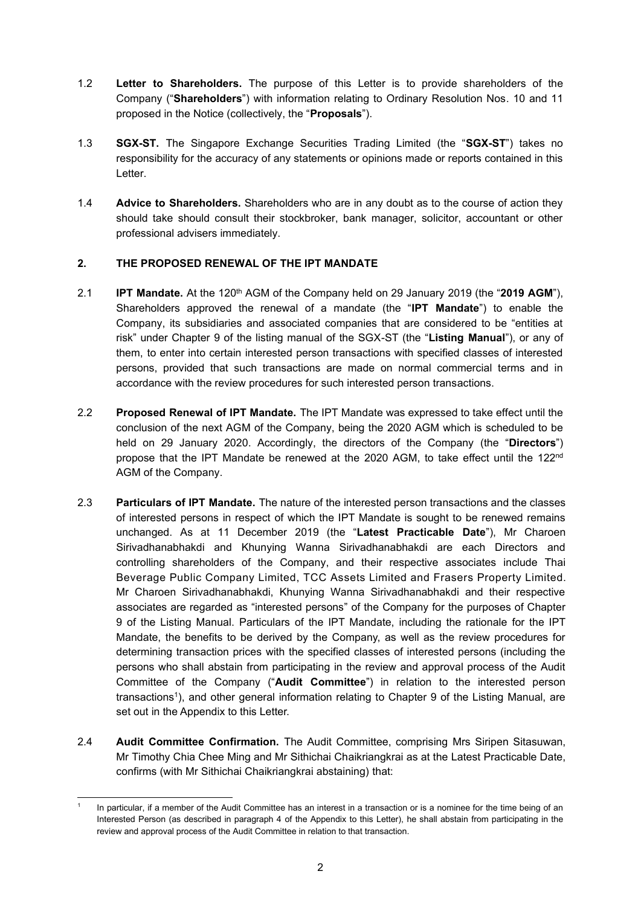- 1.2 **Letter to Shareholders.** The purpose of this Letter is to provide shareholders of the Company ("**Shareholders**") with information relating to Ordinary Resolution Nos. 10 and 11 proposed in the Notice (collectively, the "**Proposals**").
- 1.3 **SGX-ST.** The Singapore Exchange Securities Trading Limited (the "**SGX-ST**") takes no responsibility for the accuracy of any statements or opinions made or reports contained in this Letter.
- 1.4 **Advice to Shareholders.** Shareholders who are in any doubt as to the course of action they should take should consult their stockbroker, bank manager, solicitor, accountant or other professional advisers immediately.

# **2. THE PROPOSED RENEWAL OF THE IPT MANDATE**

- 2.1 **IPT Mandate.** At the 120th AGM of the Company held on 29 January 2019 (the "**2019 AGM**"), Shareholders approved the renewal of a mandate (the "**IPT Mandate**") to enable the Company, its subsidiaries and associated companies that are considered to be "entities at risk" under Chapter 9 of the listing manual of the SGX-ST (the "**Listing Manual**"), or any of them, to enter into certain interested person transactions with specified classes of interested persons, provided that such transactions are made on normal commercial terms and in accordance with the review procedures for such interested person transactions.
- 2.2 **Proposed Renewal of IPT Mandate.** The IPT Mandate was expressed to take effect until the conclusion of the next AGM of the Company, being the 2020 AGM which is scheduled to be held on 29 January 2020. Accordingly, the directors of the Company (the "**Directors**") propose that the IPT Mandate be renewed at the 2020 AGM, to take effect until the 122nd AGM of the Company.
- 2.3 **Particulars of IPT Mandate.** The nature of the interested person transactions and the classes of interested persons in respect of which the IPT Mandate is sought to be renewed remains unchanged. As at 11 December 2019 (the "**Latest Practicable Date**"), Mr Charoen Sirivadhanabhakdi and Khunying Wanna Sirivadhanabhakdi are each Directors and controlling shareholders of the Company, and their respective associates include Thai Beverage Public Company Limited, TCC Assets Limited and Frasers Property Limited. Mr Charoen Sirivadhanabhakdi, Khunying Wanna Sirivadhanabhakdi and their respective associates are regarded as "interested persons" of the Company for the purposes of Chapter 9 of the Listing Manual. Particulars of the IPT Mandate, including the rationale for the IPT Mandate, the benefits to be derived by the Company, as well as the review procedures for determining transaction prices with the specified classes of interested persons (including the persons who shall abstain from participating in the review and approval process of the Audit Committee of the Company ("**Audit Committee**") in relation to the interested person transactions<sup>1</sup>), and other general information relating to Chapter 9 of the Listing Manual, are set out in the Appendix to this Letter.
- 2.4 **Audit Committee Confirmation.** The Audit Committee, comprising Mrs Siripen Sitasuwan, Mr Timothy Chia Chee Ming and Mr Sithichai Chaikriangkrai as at the Latest Practicable Date, confirms (with Mr Sithichai Chaikriangkrai abstaining) that:

<sup>1</sup> In particular, if a member of the Audit Committee has an interest in a transaction or is a nominee for the time being of an Interested Person (as described in paragraph 4 of the Appendix to this Letter), he shall abstain from participating in the review and approval process of the Audit Committee in relation to that transaction.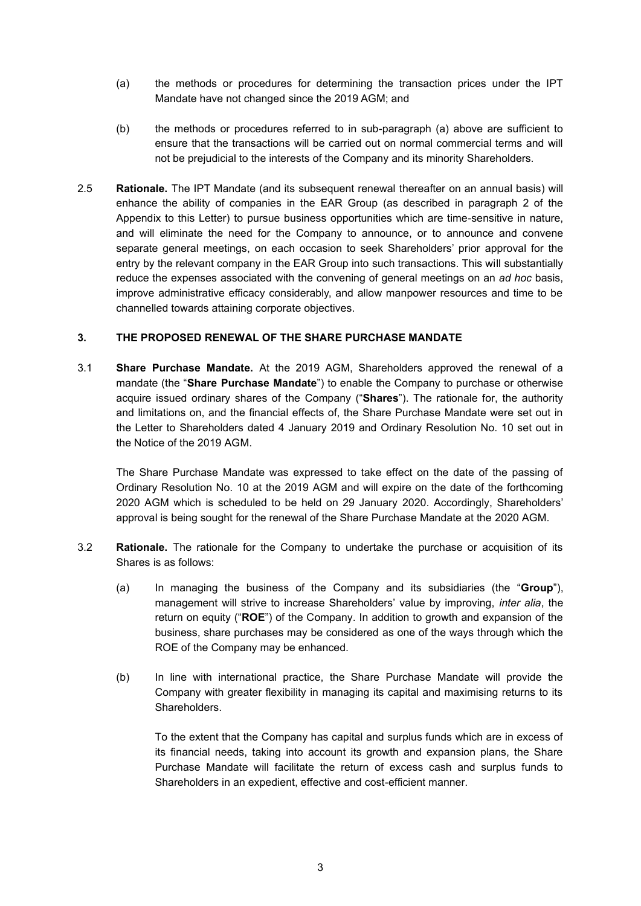- (a) the methods or procedures for determining the transaction prices under the IPT Mandate have not changed since the 2019 AGM; and
- (b) the methods or procedures referred to in sub-paragraph (a) above are sufficient to ensure that the transactions will be carried out on normal commercial terms and will not be prejudicial to the interests of the Company and its minority Shareholders.
- 2.5 **Rationale.** The IPT Mandate (and its subsequent renewal thereafter on an annual basis) will enhance the ability of companies in the EAR Group (as described in paragraph 2 of the Appendix to this Letter) to pursue business opportunities which are time-sensitive in nature, and will eliminate the need for the Company to announce, or to announce and convene separate general meetings, on each occasion to seek Shareholders' prior approval for the entry by the relevant company in the EAR Group into such transactions. This will substantially reduce the expenses associated with the convening of general meetings on an *ad hoc* basis, improve administrative efficacy considerably, and allow manpower resources and time to be channelled towards attaining corporate objectives.

### **3. THE PROPOSED RENEWAL OF THE SHARE PURCHASE MANDATE**

3.1 **Share Purchase Mandate.** At the 2019 AGM, Shareholders approved the renewal of a mandate (the "**Share Purchase Mandate**") to enable the Company to purchase or otherwise acquire issued ordinary shares of the Company ("**Shares**"). The rationale for, the authority and limitations on, and the financial effects of, the Share Purchase Mandate were set out in the Letter to Shareholders dated 4 January 2019 and Ordinary Resolution No. 10 set out in the Notice of the 2019 AGM.

The Share Purchase Mandate was expressed to take effect on the date of the passing of Ordinary Resolution No. 10 at the 2019 AGM and will expire on the date of the forthcoming 2020 AGM which is scheduled to be held on 29 January 2020. Accordingly, Shareholders' approval is being sought for the renewal of the Share Purchase Mandate at the 2020 AGM.

- 3.2 **Rationale.** The rationale for the Company to undertake the purchase or acquisition of its Shares is as follows:
	- (a) In managing the business of the Company and its subsidiaries (the "**Group**"), management will strive to increase Shareholders' value by improving, *inter alia*, the return on equity ("**ROE**") of the Company. In addition to growth and expansion of the business, share purchases may be considered as one of the ways through which the ROE of the Company may be enhanced.
	- (b) In line with international practice, the Share Purchase Mandate will provide the Company with greater flexibility in managing its capital and maximising returns to its Shareholders.

To the extent that the Company has capital and surplus funds which are in excess of its financial needs, taking into account its growth and expansion plans, the Share Purchase Mandate will facilitate the return of excess cash and surplus funds to Shareholders in an expedient, effective and cost-efficient manner.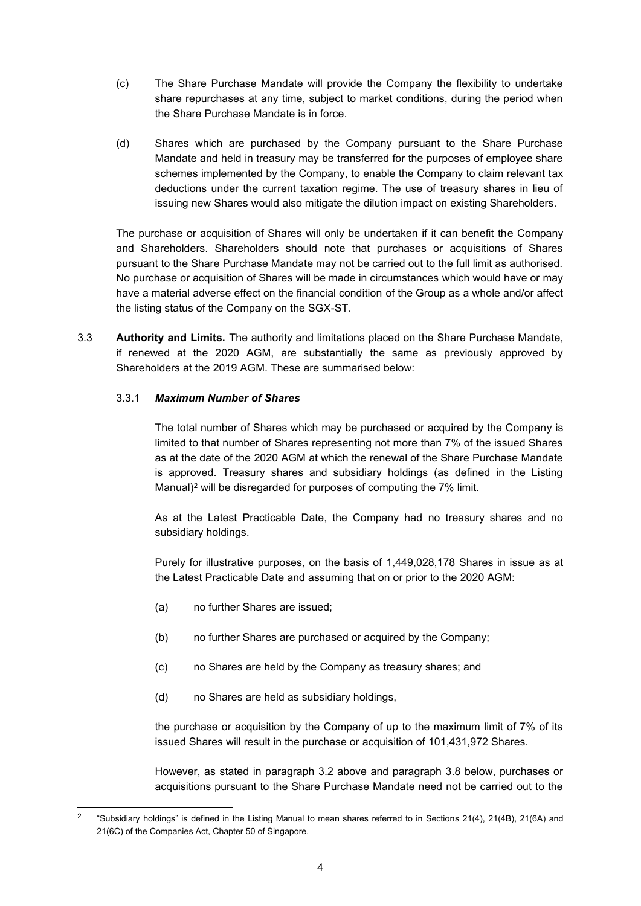- (c) The Share Purchase Mandate will provide the Company the flexibility to undertake share repurchases at any time, subject to market conditions, during the period when the Share Purchase Mandate is in force.
- (d) Shares which are purchased by the Company pursuant to the Share Purchase Mandate and held in treasury may be transferred for the purposes of employee share schemes implemented by the Company, to enable the Company to claim relevant tax deductions under the current taxation regime. The use of treasury shares in lieu of issuing new Shares would also mitigate the dilution impact on existing Shareholders.

The purchase or acquisition of Shares will only be undertaken if it can benefit the Company and Shareholders. Shareholders should note that purchases or acquisitions of Shares pursuant to the Share Purchase Mandate may not be carried out to the full limit as authorised. No purchase or acquisition of Shares will be made in circumstances which would have or may have a material adverse effect on the financial condition of the Group as a whole and/or affect the listing status of the Company on the SGX-ST.

3.3 **Authority and Limits.** The authority and limitations placed on the Share Purchase Mandate, if renewed at the 2020 AGM, are substantially the same as previously approved by Shareholders at the 2019 AGM. These are summarised below:

## 3.3.1 *Maximum Number of Shares*

The total number of Shares which may be purchased or acquired by the Company is limited to that number of Shares representing not more than 7% of the issued Shares as at the date of the 2020 AGM at which the renewal of the Share Purchase Mandate is approved. Treasury shares and subsidiary holdings (as defined in the Listing Manual)<sup>2</sup> will be disregarded for purposes of computing the 7% limit.

As at the Latest Practicable Date, the Company had no treasury shares and no subsidiary holdings.

Purely for illustrative purposes, on the basis of 1,449,028,178 Shares in issue as at the Latest Practicable Date and assuming that on or prior to the 2020 AGM:

- (a) no further Shares are issued;
- (b) no further Shares are purchased or acquired by the Company;
- (c) no Shares are held by the Company as treasury shares; and
- (d) no Shares are held as subsidiary holdings,

the purchase or acquisition by the Company of up to the maximum limit of 7% of its issued Shares will result in the purchase or acquisition of 101,431,972 Shares.

However, as stated in paragraph 3.2 above and paragraph 3.8 below, purchases or acquisitions pursuant to the Share Purchase Mandate need not be carried out to the

 $\overline{2}$ "Subsidiary holdings" is defined in the Listing Manual to mean shares referred to in Sections 21(4), 21(4B), 21(6A) and 21(6C) of the Companies Act, Chapter 50 of Singapore.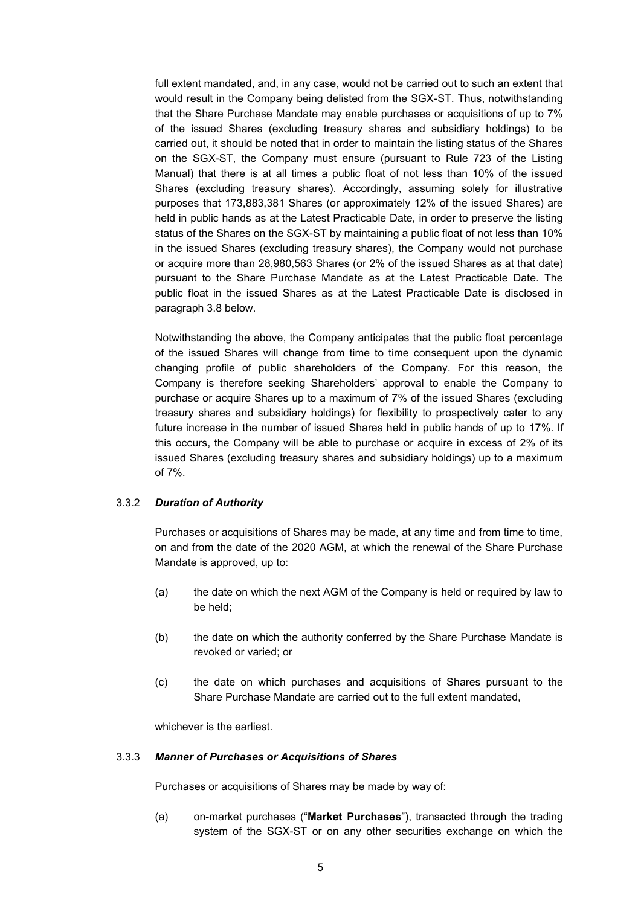full extent mandated, and, in any case, would not be carried out to such an extent that would result in the Company being delisted from the SGX-ST. Thus, notwithstanding that the Share Purchase Mandate may enable purchases or acquisitions of up to 7% of the issued Shares (excluding treasury shares and subsidiary holdings) to be carried out, it should be noted that in order to maintain the listing status of the Shares on the SGX-ST, the Company must ensure (pursuant to Rule 723 of the Listing Manual) that there is at all times a public float of not less than 10% of the issued Shares (excluding treasury shares). Accordingly, assuming solely for illustrative purposes that 173,883,381 Shares (or approximately 12% of the issued Shares) are held in public hands as at the Latest Practicable Date, in order to preserve the listing status of the Shares on the SGX-ST by maintaining a public float of not less than 10% in the issued Shares (excluding treasury shares), the Company would not purchase or acquire more than 28,980,563 Shares (or 2% of the issued Shares as at that date) pursuant to the Share Purchase Mandate as at the Latest Practicable Date. The public float in the issued Shares as at the Latest Practicable Date is disclosed in paragraph 3.8 below.

Notwithstanding the above, the Company anticipates that the public float percentage of the issued Shares will change from time to time consequent upon the dynamic changing profile of public shareholders of the Company. For this reason, the Company is therefore seeking Shareholders' approval to enable the Company to purchase or acquire Shares up to a maximum of 7% of the issued Shares (excluding treasury shares and subsidiary holdings) for flexibility to prospectively cater to any future increase in the number of issued Shares held in public hands of up to 17%. If this occurs, the Company will be able to purchase or acquire in excess of 2% of its issued Shares (excluding treasury shares and subsidiary holdings) up to a maximum of 7%.

### 3.3.2 *Duration of Authority*

Purchases or acquisitions of Shares may be made, at any time and from time to time, on and from the date of the 2020 AGM, at which the renewal of the Share Purchase Mandate is approved, up to:

- (a) the date on which the next AGM of the Company is held or required by law to be held;
- (b) the date on which the authority conferred by the Share Purchase Mandate is revoked or varied; or
- (c) the date on which purchases and acquisitions of Shares pursuant to the Share Purchase Mandate are carried out to the full extent mandated,

whichever is the earliest.

#### 3.3.3 *Manner of Purchases or Acquisitions of Shares*

Purchases or acquisitions of Shares may be made by way of:

(a) on-market purchases ("**Market Purchases**"), transacted through the trading system of the SGX-ST or on any other securities exchange on which the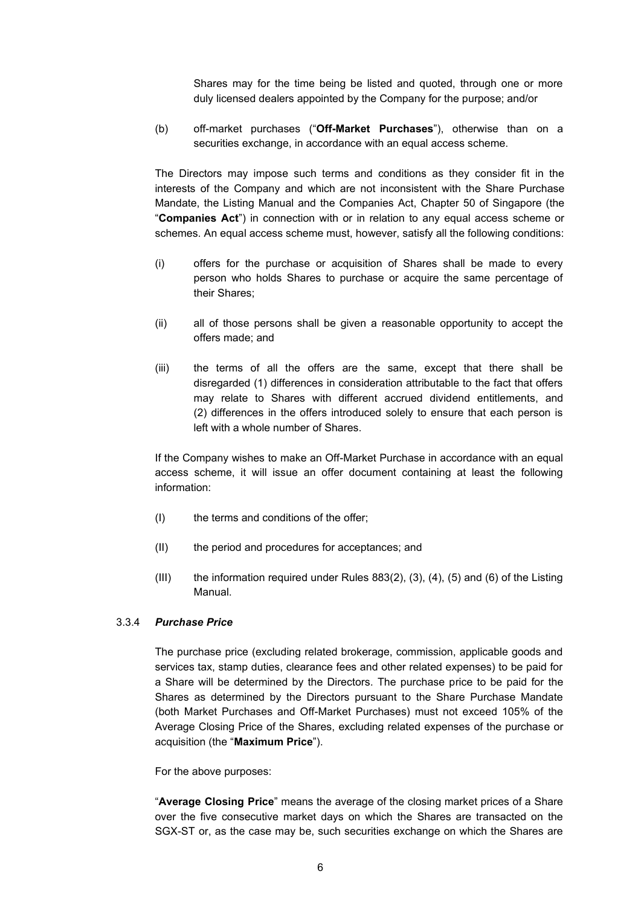Shares may for the time being be listed and quoted, through one or more duly licensed dealers appointed by the Company for the purpose; and/or

(b) off-market purchases ("**Off-Market Purchases**"), otherwise than on a securities exchange, in accordance with an equal access scheme.

The Directors may impose such terms and conditions as they consider fit in the interests of the Company and which are not inconsistent with the Share Purchase Mandate, the Listing Manual and the Companies Act, Chapter 50 of Singapore (the "**Companies Act**") in connection with or in relation to any equal access scheme or schemes. An equal access scheme must, however, satisfy all the following conditions:

- (i) offers for the purchase or acquisition of Shares shall be made to every person who holds Shares to purchase or acquire the same percentage of their Shares;
- (ii) all of those persons shall be given a reasonable opportunity to accept the offers made; and
- (iii) the terms of all the offers are the same, except that there shall be disregarded (1) differences in consideration attributable to the fact that offers may relate to Shares with different accrued dividend entitlements, and (2) differences in the offers introduced solely to ensure that each person is left with a whole number of Shares.

If the Company wishes to make an Off-Market Purchase in accordance with an equal access scheme, it will issue an offer document containing at least the following information:

- (I) the terms and conditions of the offer;
- (II) the period and procedures for acceptances; and
- (III) the information required under Rules  $883(2)$ ,  $(3)$ ,  $(4)$ ,  $(5)$  and  $(6)$  of the Listing Manual.

### 3.3.4 *Purchase Price*

The purchase price (excluding related brokerage, commission, applicable goods and services tax, stamp duties, clearance fees and other related expenses) to be paid for a Share will be determined by the Directors. The purchase price to be paid for the Shares as determined by the Directors pursuant to the Share Purchase Mandate (both Market Purchases and Off-Market Purchases) must not exceed 105% of the Average Closing Price of the Shares, excluding related expenses of the purchase or acquisition (the "**Maximum Price**").

### For the above purposes:

"**Average Closing Price**" means the average of the closing market prices of a Share over the five consecutive market days on which the Shares are transacted on the SGX-ST or, as the case may be, such securities exchange on which the Shares are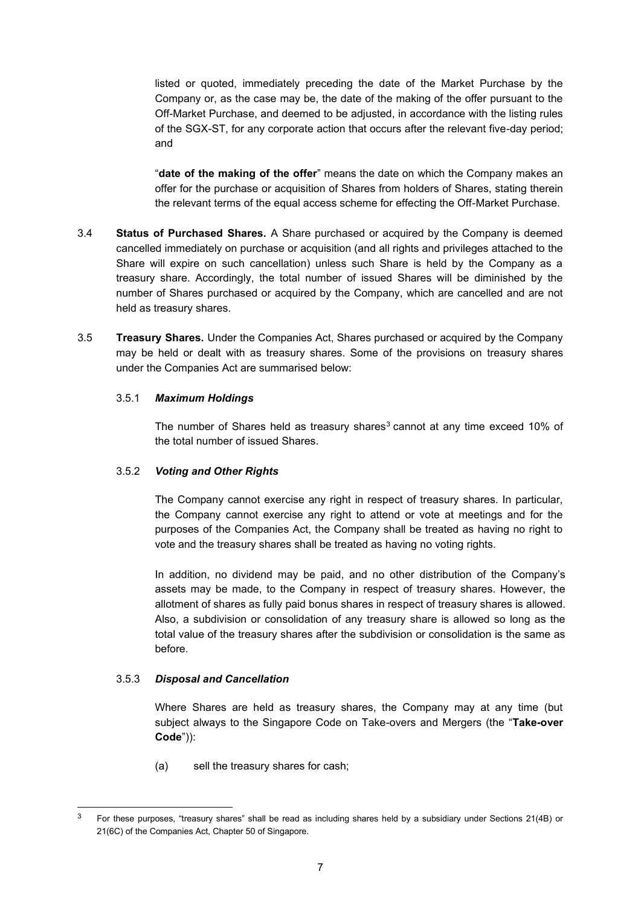listed or quoted, immediately preceding the date of the Market Purchase by the Company or, as the case may be, the date of the making of the offer pursuant to the Off-Market Purchase, and deemed to be adjusted, in accordance with the listing rules of the SGX-ST, for any corporate action that occurs after the relevant five-day period; and

"**date of the making of the offer**" means the date on which the Company makes an offer for the purchase or acquisition of Shares from holders of Shares, stating therein the relevant terms of the equal access scheme for effecting the Off-Market Purchase.

- 3.4 **Status of Purchased Shares.** A Share purchased or acquired by the Company is deemed cancelled immediately on purchase or acquisition (and all rights and privileges attached to the Share will expire on such cancellation) unless such Share is held by the Company as a treasury share. Accordingly, the total number of issued Shares will be diminished by the number of Shares purchased or acquired by the Company, which are cancelled and are not held as treasury shares.
- 3.5 **Treasury Shares.** Under the Companies Act, Shares purchased or acquired by the Company may be held or dealt with as treasury shares. Some of the provisions on treasury shares under the Companies Act are summarised below:

### 3.5.1 *Maximum Holdings*

The number of Shares held as treasury shares<sup>3</sup> cannot at any time exceed 10% of the total number of issued Shares.

### 3.5.2 *Voting and Other Rights*

The Company cannot exercise any right in respect of treasury shares. In particular, the Company cannot exercise any right to attend or vote at meetings and for the purposes of the Companies Act, the Company shall be treated as having no right to vote and the treasury shares shall be treated as having no voting rights.

In addition, no dividend may be paid, and no other distribution of the Company's assets may be made, to the Company in respect of treasury shares. However, the allotment of shares as fully paid bonus shares in respect of treasury shares is allowed. Also, a subdivision or consolidation of any treasury share is allowed so long as the total value of the treasury shares after the subdivision or consolidation is the same as before.

### 3.5.3 *Disposal and Cancellation*

Where Shares are held as treasury shares, the Company may at any time (but subject always to the Singapore Code on Take-overs and Mergers (the "**Take-over Code**")):

(a) sell the treasury shares for cash;

<sup>&</sup>lt;sup>3</sup> For these purposes, "treasury shares" shall be read as including shares held by a subsidiary under Sections 21(4B) or 21(6C) of the Companies Act, Chapter 50 of Singapore.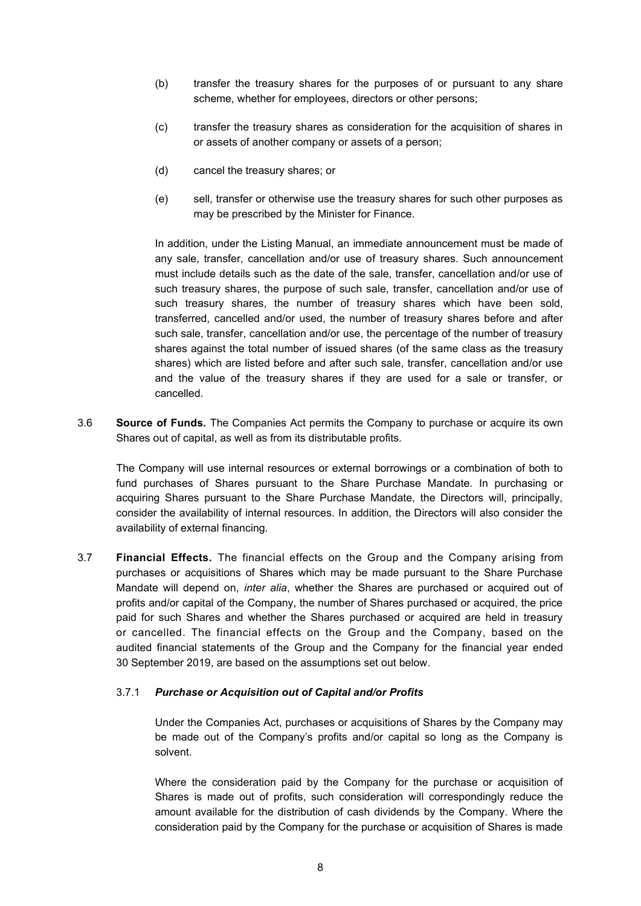- (b) transfer the treasury shares for the purposes of or pursuant to any share scheme, whether for employees, directors or other persons;
- (c) transfer the treasury shares as consideration for the acquisition of shares in or assets of another company or assets of a person;
- (d) cancel the treasury shares; or
- (e) sell, transfer or otherwise use the treasury shares for such other purposes as may be prescribed by the Minister for Finance.

In addition, under the Listing Manual, an immediate announcement must be made of any sale, transfer, cancellation and/or use of treasury shares. Such announcement must include details such as the date of the sale, transfer, cancellation and/or use of such treasury shares, the purpose of such sale, transfer, cancellation and/or use of such treasury shares, the number of treasury shares which have been sold, transferred, cancelled and/or used, the number of treasury shares before and after such sale, transfer, cancellation and/or use, the percentage of the number of treasury shares against the total number of issued shares (of the same class as the treasury shares) which are listed before and after such sale, transfer, cancellation and/or use and the value of the treasury shares if they are used for a sale or transfer, or cancelled.

3.6 **Source of Funds.** The Companies Act permits the Company to purchase or acquire its own Shares out of capital, as well as from its distributable profits.

The Company will use internal resources or external borrowings or a combination of both to fund purchases of Shares pursuant to the Share Purchase Mandate. In purchasing or acquiring Shares pursuant to the Share Purchase Mandate, the Directors will, principally, consider the availability of internal resources. In addition, the Directors will also consider the availability of external financing.

3.7 **Financial Effects.** The financial effects on the Group and the Company arising from purchases or acquisitions of Shares which may be made pursuant to the Share Purchase Mandate will depend on, *inter alia*, whether the Shares are purchased or acquired out of profits and/or capital of the Company, the number of Shares purchased or acquired, the price paid for such Shares and whether the Shares purchased or acquired are held in treasury or cancelled. The financial effects on the Group and the Company, based on the audited financial statements of the Group and the Company for the financial year ended 30 September 2019, are based on the assumptions set out below.

### 3.7.1 *Purchase or Acquisition out of Capital and/or Profits*

Under the Companies Act, purchases or acquisitions of Shares by the Company may be made out of the Company's profits and/or capital so long as the Company is solvent.

Where the consideration paid by the Company for the purchase or acquisition of Shares is made out of profits, such consideration will correspondingly reduce the amount available for the distribution of cash dividends by the Company. Where the consideration paid by the Company for the purchase or acquisition of Shares is made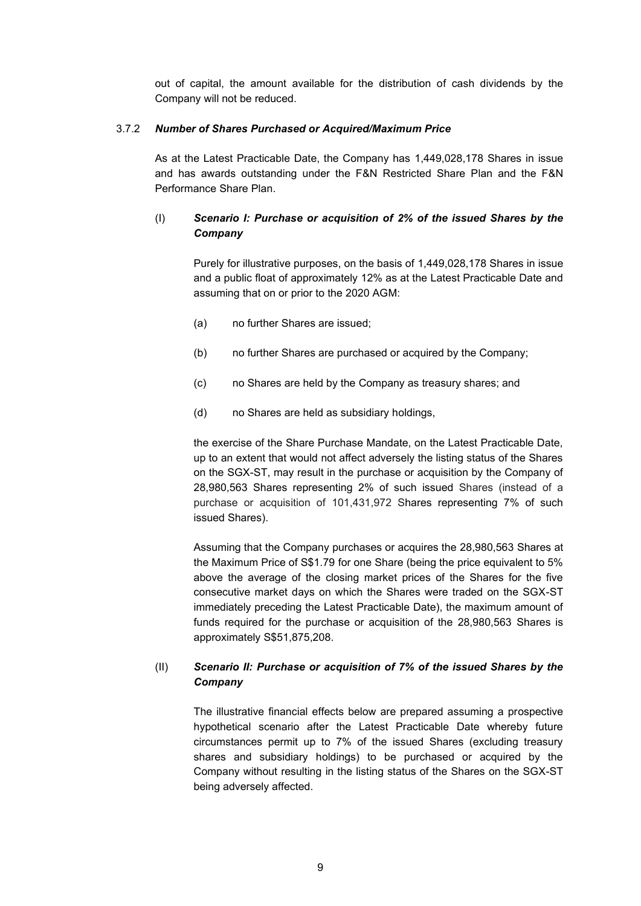out of capital, the amount available for the distribution of cash dividends by the Company will not be reduced.

### 3.7.2 *Number of Shares Purchased or Acquired/Maximum Price*

As at the Latest Practicable Date, the Company has 1,449,028,178 Shares in issue and has awards outstanding under the F&N Restricted Share Plan and the F&N Performance Share Plan.

# (I) *Scenario I: Purchase or acquisition of 2% of the issued Shares by the Company*

Purely for illustrative purposes, on the basis of 1,449,028,178 Shares in issue and a public float of approximately 12% as at the Latest Practicable Date and assuming that on or prior to the 2020 AGM:

- (a) no further Shares are issued;
- (b) no further Shares are purchased or acquired by the Company;
- (c) no Shares are held by the Company as treasury shares; and
- (d) no Shares are held as subsidiary holdings,

the exercise of the Share Purchase Mandate, on the Latest Practicable Date, up to an extent that would not affect adversely the listing status of the Shares on the SGX-ST, may result in the purchase or acquisition by the Company of 28,980,563 Shares representing 2% of such issued Shares (instead of a purchase or acquisition of 101,431,972 Shares representing 7% of such issued Shares).

Assuming that the Company purchases or acquires the 28,980,563 Shares at the Maximum Price of S\$1.79 for one Share (being the price equivalent to 5% above the average of the closing market prices of the Shares for the five consecutive market days on which the Shares were traded on the SGX-ST immediately preceding the Latest Practicable Date), the maximum amount of funds required for the purchase or acquisition of the 28,980,563 Shares is approximately S\$51,875,208.

# (II) *Scenario II: Purchase or acquisition of 7% of the issued Shares by the Company*

The illustrative financial effects below are prepared assuming a prospective hypothetical scenario after the Latest Practicable Date whereby future circumstances permit up to 7% of the issued Shares (excluding treasury shares and subsidiary holdings) to be purchased or acquired by the Company without resulting in the listing status of the Shares on the SGX-ST being adversely affected.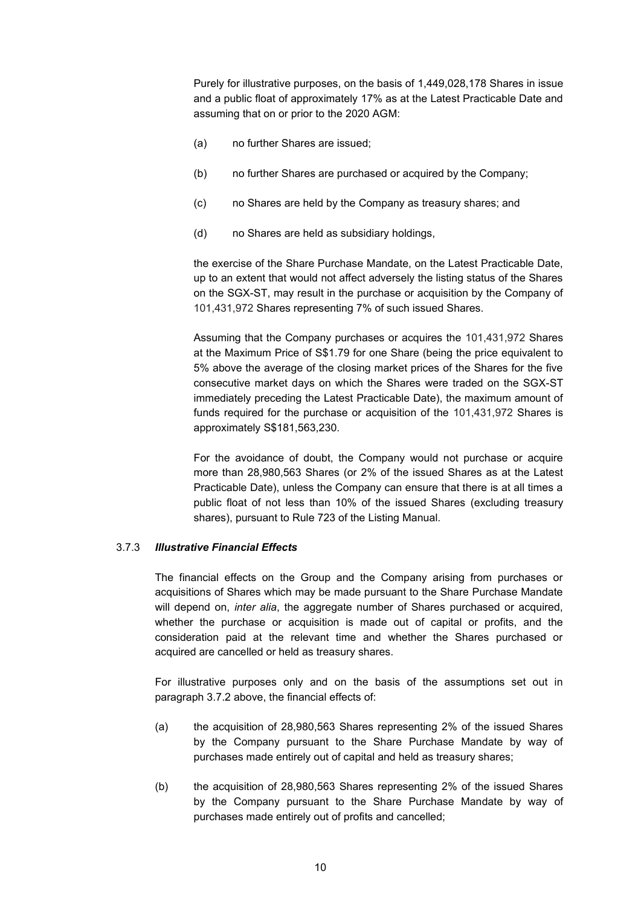Purely for illustrative purposes, on the basis of 1,449,028,178 Shares in issue and a public float of approximately 17% as at the Latest Practicable Date and assuming that on or prior to the 2020 AGM:

- (a) no further Shares are issued;
- (b) no further Shares are purchased or acquired by the Company;
- (c) no Shares are held by the Company as treasury shares; and
- (d) no Shares are held as subsidiary holdings,

the exercise of the Share Purchase Mandate, on the Latest Practicable Date, up to an extent that would not affect adversely the listing status of the Shares on the SGX-ST, may result in the purchase or acquisition by the Company of 101,431,972 Shares representing 7% of such issued Shares.

Assuming that the Company purchases or acquires the 101,431,972 Shares at the Maximum Price of S\$1.79 for one Share (being the price equivalent to 5% above the average of the closing market prices of the Shares for the five consecutive market days on which the Shares were traded on the SGX-ST immediately preceding the Latest Practicable Date), the maximum amount of funds required for the purchase or acquisition of the 101,431,972 Shares is approximately S\$181,563,230.

For the avoidance of doubt, the Company would not purchase or acquire more than 28,980,563 Shares (or 2% of the issued Shares as at the Latest Practicable Date), unless the Company can ensure that there is at all times a public float of not less than 10% of the issued Shares (excluding treasury shares), pursuant to Rule 723 of the Listing Manual.

### 3.7.3 *Illustrative Financial Effects*

The financial effects on the Group and the Company arising from purchases or acquisitions of Shares which may be made pursuant to the Share Purchase Mandate will depend on, *inter alia*, the aggregate number of Shares purchased or acquired, whether the purchase or acquisition is made out of capital or profits, and the consideration paid at the relevant time and whether the Shares purchased or acquired are cancelled or held as treasury shares.

For illustrative purposes only and on the basis of the assumptions set out in paragraph 3.7.2 above, the financial effects of:

- (a) the acquisition of 28,980,563 Shares representing 2% of the issued Shares by the Company pursuant to the Share Purchase Mandate by way of purchases made entirely out of capital and held as treasury shares;
- (b) the acquisition of 28,980,563 Shares representing 2% of the issued Shares by the Company pursuant to the Share Purchase Mandate by way of purchases made entirely out of profits and cancelled;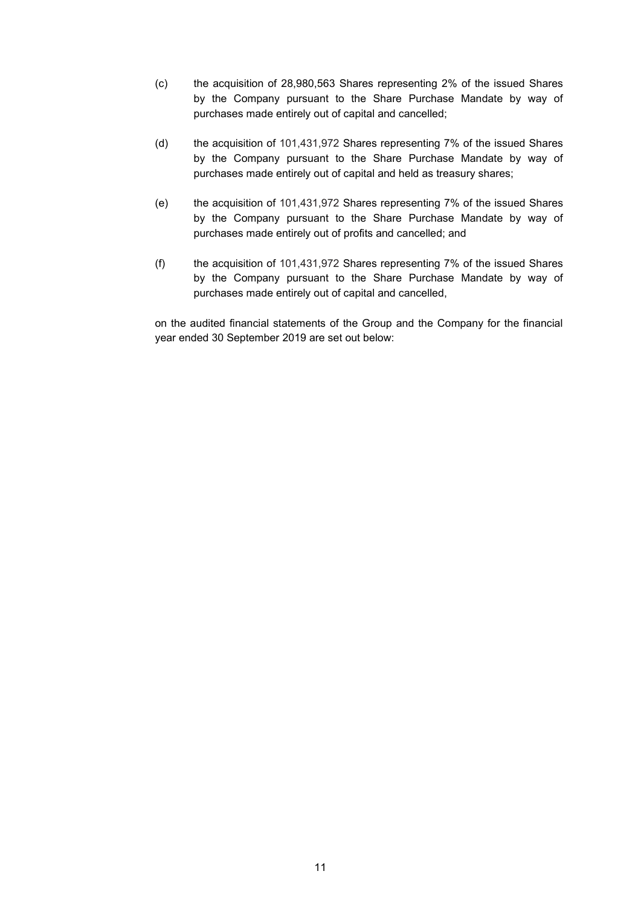- (c) the acquisition of 28,980,563 Shares representing 2% of the issued Shares by the Company pursuant to the Share Purchase Mandate by way of purchases made entirely out of capital and cancelled;
- (d) the acquisition of 101,431,972 Shares representing 7% of the issued Shares by the Company pursuant to the Share Purchase Mandate by way of purchases made entirely out of capital and held as treasury shares;
- (e) the acquisition of 101,431,972 Shares representing 7% of the issued Shares by the Company pursuant to the Share Purchase Mandate by way of purchases made entirely out of profits and cancelled; and
- (f) the acquisition of 101,431,972 Shares representing 7% of the issued Shares by the Company pursuant to the Share Purchase Mandate by way of purchases made entirely out of capital and cancelled,

on the audited financial statements of the Group and the Company for the financial year ended 30 September 2019 are set out below: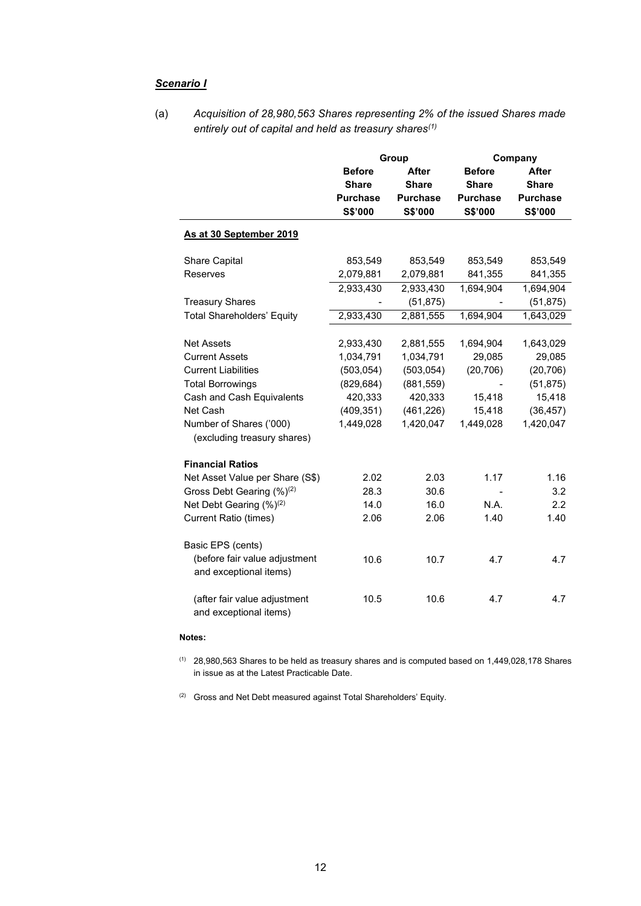### *Scenario I*

(a) *Acquisition of 28,980,563 Shares representing 2% of the issued Shares made entirely out of capital and held as treasury shares(1)*

|                                                        |                               | Group           | Company         |                 |  |
|--------------------------------------------------------|-------------------------------|-----------------|-----------------|-----------------|--|
|                                                        | <b>Before</b><br><b>After</b> |                 | <b>Before</b>   | <b>After</b>    |  |
|                                                        | <b>Share</b>                  | <b>Share</b>    | <b>Share</b>    | <b>Share</b>    |  |
|                                                        | <b>Purchase</b>               | <b>Purchase</b> | <b>Purchase</b> | <b>Purchase</b> |  |
|                                                        | S\$'000                       | S\$'000         | S\$'000         | S\$'000         |  |
| As at 30 September 2019                                |                               |                 |                 |                 |  |
| Share Capital                                          | 853,549                       | 853,549         | 853,549         | 853,549         |  |
| Reserves                                               | 2,079,881                     | 2,079,881       | 841,355         | 841,355         |  |
|                                                        | 2,933,430                     | 2,933,430       | 1,694,904       | 1,694,904       |  |
| <b>Treasury Shares</b>                                 |                               | (51, 875)       |                 | (51, 875)       |  |
| <b>Total Shareholders' Equity</b>                      | 2,933,430                     | 2,881,555       | 1,694,904       | 1,643,029       |  |
|                                                        |                               |                 |                 |                 |  |
| <b>Net Assets</b>                                      | 2,933,430                     | 2,881,555       | 1,694,904       | 1,643,029       |  |
| <b>Current Assets</b>                                  | 1,034,791                     | 1,034,791       | 29,085          | 29,085          |  |
| <b>Current Liabilities</b>                             | (503, 054)                    | (503, 054)      | (20, 706)       | (20, 706)       |  |
| <b>Total Borrowings</b>                                | (829, 684)                    | (881, 559)      |                 | (51, 875)       |  |
| Cash and Cash Equivalents                              | 420,333                       | 420,333         | 15,418          | 15,418          |  |
| Net Cash                                               | (409, 351)                    | (461, 226)      | 15,418          | (36, 457)       |  |
| Number of Shares ('000)                                | 1,449,028                     | 1,420,047       | 1,449,028       | 1,420,047       |  |
| (excluding treasury shares)                            |                               |                 |                 |                 |  |
| <b>Financial Ratios</b>                                |                               |                 |                 |                 |  |
| Net Asset Value per Share (S\$)                        | 2.02                          | 2.03            | 1.17            | 1.16            |  |
| Gross Debt Gearing (%) <sup>(2)</sup>                  | 28.3                          | 30.6            |                 | 3.2             |  |
| Net Debt Gearing (%) <sup>(2)</sup>                    | 14.0                          | 16.0            | N.A.            | 2.2             |  |
| <b>Current Ratio (times)</b>                           | 2.06                          | 2.06            | 1.40            | 1.40            |  |
|                                                        |                               |                 |                 |                 |  |
| Basic EPS (cents)                                      |                               |                 |                 |                 |  |
| (before fair value adjustment                          | 10.6                          | 10.7            | 4.7             | 4.7             |  |
| and exceptional items)                                 |                               |                 |                 |                 |  |
| (after fair value adjustment<br>and exceptional items) | 10.5                          | 10.6            | 4.7             | 4.7             |  |

#### **Notes:**

(1) 28,980,563 Shares to be held as treasury shares and is computed based on 1,449,028,178 Shares in issue as at the Latest Practicable Date.

(2) Gross and Net Debt measured against Total Shareholders' Equity.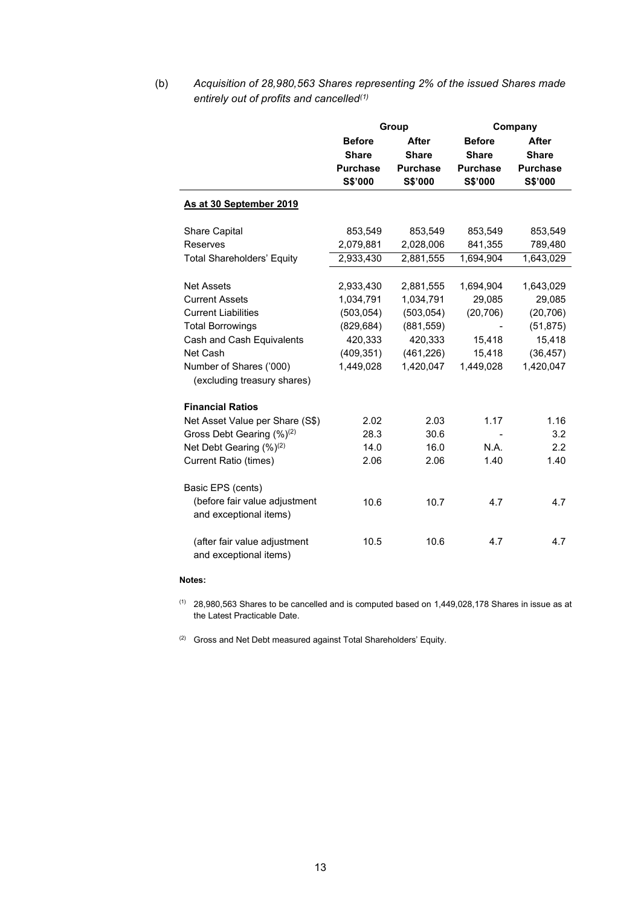(b) *Acquisition of 28,980,563 Shares representing 2% of the issued Shares made entirely out of profits and cancelled(1)* 

|                                                        |                               | Group           | Company         |                 |  |
|--------------------------------------------------------|-------------------------------|-----------------|-----------------|-----------------|--|
|                                                        | <b>Before</b><br><b>After</b> |                 | <b>Before</b>   | <b>After</b>    |  |
|                                                        | <b>Share</b>                  | <b>Share</b>    | <b>Share</b>    | <b>Share</b>    |  |
|                                                        | <b>Purchase</b>               | <b>Purchase</b> | <b>Purchase</b> | <b>Purchase</b> |  |
|                                                        | S\$'000                       | S\$'000         | S\$'000         | S\$'000         |  |
| As at 30 September 2019                                |                               |                 |                 |                 |  |
| Share Capital                                          | 853,549                       | 853,549         | 853,549         | 853,549         |  |
| Reserves                                               | 2,079,881                     | 2,028,006       | 841,355         | 789,480         |  |
| <b>Total Shareholders' Equity</b>                      | 2,933,430                     | 2,881,555       | 1,694,904       | 1,643,029       |  |
|                                                        |                               |                 |                 |                 |  |
| <b>Net Assets</b>                                      | 2,933,430                     | 2,881,555       | 1,694,904       | 1,643,029       |  |
| <b>Current Assets</b>                                  | 1,034,791                     | 1,034,791       | 29,085          | 29,085          |  |
| <b>Current Liabilities</b>                             | (503, 054)                    | (503, 054)      | (20, 706)       | (20, 706)       |  |
| <b>Total Borrowings</b>                                | (829, 684)                    | (881, 559)      |                 | (51, 875)       |  |
| Cash and Cash Equivalents                              | 420,333                       | 420,333         | 15.418          | 15,418          |  |
| Net Cash                                               | (409, 351)                    | (461, 226)      | 15,418          | (36, 457)       |  |
| Number of Shares ('000)<br>(excluding treasury shares) | 1,449,028                     | 1,420,047       | 1,449,028       | 1,420,047       |  |
| <b>Financial Ratios</b>                                |                               |                 |                 |                 |  |
| Net Asset Value per Share (S\$)                        | 2.02                          | 2.03            | 1.17            | 1.16            |  |
| Gross Debt Gearing (%) <sup>(2)</sup>                  | 28.3                          | 30.6            |                 | 3.2             |  |
| Net Debt Gearing (%) <sup>(2)</sup>                    | 14.0                          | 16.0            | N.A.            | 2.2             |  |
| <b>Current Ratio (times)</b>                           | 2.06                          | 2.06            | 1.40            | 1.40            |  |
|                                                        |                               |                 |                 |                 |  |
| Basic EPS (cents)<br>(before fair value adjustment     | 10.6                          | 10.7            | 4.7             | 4.7             |  |
| and exceptional items)                                 |                               |                 |                 |                 |  |
|                                                        |                               |                 |                 |                 |  |
| (after fair value adjustment                           | 10.5                          | 10.6            | 4.7             | 4.7             |  |
| and exceptional items)                                 |                               |                 |                 |                 |  |

#### **Notes:**

- (1) 28,980,563 Shares to be cancelled and is computed based on 1,449,028,178 Shares in issue as at the Latest Practicable Date.
- $(2)$  Gross and Net Debt measured against Total Shareholders' Equity.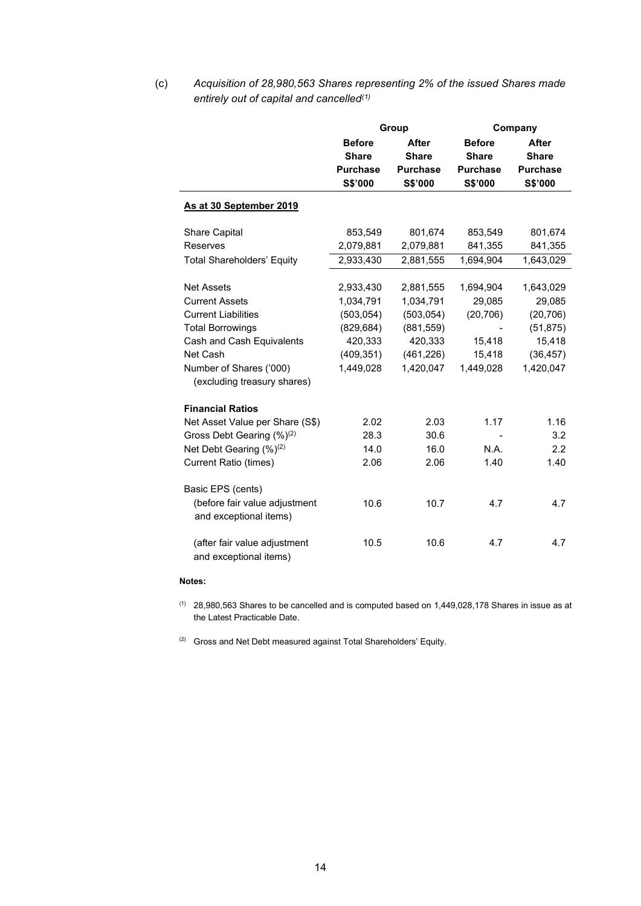(c) *Acquisition of 28,980,563 Shares representing 2% of the issued Shares made entirely out of capital and cancelled(1)* 

|                                                         |                                                             | Group                                                      | Company                                                     |                                                            |  |
|---------------------------------------------------------|-------------------------------------------------------------|------------------------------------------------------------|-------------------------------------------------------------|------------------------------------------------------------|--|
|                                                         | <b>Before</b><br><b>Share</b><br><b>Purchase</b><br>S\$'000 | <b>After</b><br><b>Share</b><br><b>Purchase</b><br>S\$'000 | <b>Before</b><br><b>Share</b><br><b>Purchase</b><br>S\$'000 | <b>After</b><br><b>Share</b><br><b>Purchase</b><br>S\$'000 |  |
| As at 30 September 2019                                 |                                                             |                                                            |                                                             |                                                            |  |
| <b>Share Capital</b>                                    | 853,549                                                     | 801,674                                                    | 853,549                                                     | 801,674                                                    |  |
| Reserves                                                | 2,079,881                                                   | 2,079,881                                                  | 841,355                                                     | 841,355                                                    |  |
| <b>Total Shareholders' Equity</b>                       | 2,933,430                                                   | 2,881,555                                                  | 1,694,904                                                   | 1,643,029                                                  |  |
| <b>Net Assets</b>                                       | 2,933,430                                                   | 2,881,555                                                  | 1,694,904                                                   | 1,643,029                                                  |  |
| <b>Current Assets</b>                                   | 1,034,791                                                   | 1,034,791                                                  | 29,085                                                      | 29,085                                                     |  |
| <b>Current Liabilities</b>                              | (503, 054)                                                  | (503, 054)                                                 | (20, 706)                                                   | (20, 706)                                                  |  |
| <b>Total Borrowings</b>                                 | (829, 684)                                                  | (881, 559)                                                 |                                                             | (51, 875)                                                  |  |
| Cash and Cash Equivalents                               | 420,333                                                     | 420,333                                                    | 15,418                                                      | 15,418                                                     |  |
| Net Cash                                                | (409, 351)                                                  | (461, 226)                                                 | 15,418                                                      | (36, 457)                                                  |  |
| Number of Shares ('000)<br>(excluding treasury shares)  | 1,449,028                                                   | 1,420,047                                                  | 1,449,028                                                   | 1,420,047                                                  |  |
| <b>Financial Ratios</b>                                 |                                                             |                                                            |                                                             |                                                            |  |
| Net Asset Value per Share (S\$)                         | 2.02                                                        | 2.03                                                       | 1.17                                                        | 1.16                                                       |  |
| Gross Debt Gearing (%) <sup>(2)</sup>                   | 28.3                                                        | 30.6                                                       |                                                             | 3.2                                                        |  |
| Net Debt Gearing (%) <sup>(2)</sup>                     | 14.0                                                        | 16.0                                                       | N.A.                                                        | 2.2                                                        |  |
| <b>Current Ratio (times)</b>                            | 2.06                                                        | 2.06                                                       | 1.40                                                        | 1.40                                                       |  |
| Basic EPS (cents)                                       |                                                             |                                                            |                                                             |                                                            |  |
| (before fair value adjustment<br>and exceptional items) | 10.6                                                        | 10.7                                                       | 4.7                                                         | 4.7                                                        |  |
| (after fair value adjustment<br>and exceptional items)  | 10.5                                                        | 10.6                                                       | 4.7                                                         | 4.7                                                        |  |

#### **Notes:**

- (1) 28,980,563 Shares to be cancelled and is computed based on 1,449,028,178 Shares in issue as at the Latest Practicable Date.
- (2) Gross and Net Debt measured against Total Shareholders' Equity.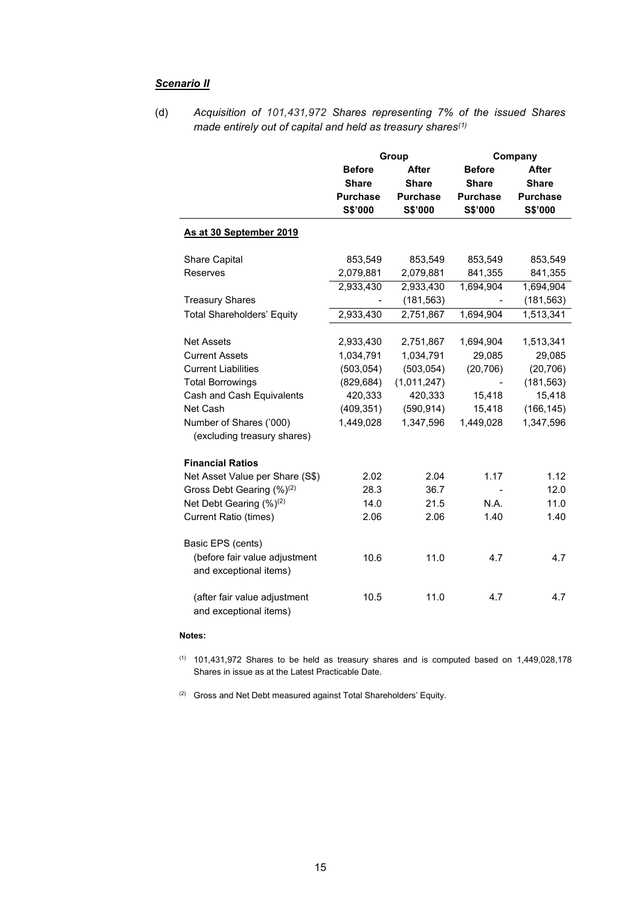## *Scenario II*

(d) *Acquisition of 101,431,972 Shares representing 7% of the issued Shares made entirely out of capital and held as treasury shares(1)* 

|                                                         |                        | Group           | Company         |                 |  |
|---------------------------------------------------------|------------------------|-----------------|-----------------|-----------------|--|
|                                                         | <b>Before</b><br>After |                 | <b>Before</b>   | After           |  |
|                                                         | <b>Share</b>           | <b>Share</b>    | <b>Share</b>    | <b>Share</b>    |  |
|                                                         | <b>Purchase</b>        | <b>Purchase</b> | <b>Purchase</b> | <b>Purchase</b> |  |
|                                                         | S\$'000                | S\$'000         | S\$'000         | S\$'000         |  |
| As at 30 September 2019                                 |                        |                 |                 |                 |  |
| <b>Share Capital</b>                                    | 853,549                | 853,549         | 853,549         | 853,549         |  |
| Reserves                                                | 2,079,881              | 2,079,881       | 841,355         | 841,355         |  |
|                                                         | 2,933,430              | 2,933,430       | 1,694,904       | 1,694,904       |  |
| <b>Treasury Shares</b>                                  |                        | (181, 563)      |                 | (181, 563)      |  |
| <b>Total Shareholders' Equity</b>                       | 2,933,430              | 2,751,867       | 1,694,904       | 1,513,341       |  |
|                                                         |                        |                 |                 |                 |  |
| <b>Net Assets</b>                                       | 2,933,430              | 2,751,867       | 1,694,904       | 1,513,341       |  |
| <b>Current Assets</b>                                   | 1,034,791              | 1,034,791       | 29,085          | 29,085          |  |
| <b>Current Liabilities</b>                              | (503, 054)             | (503, 054)      | (20, 706)       | (20, 706)       |  |
| <b>Total Borrowings</b>                                 | (829, 684)             | (1,011,247)     |                 | (181, 563)      |  |
| Cash and Cash Equivalents                               | 420,333                | 420,333         | 15,418          | 15,418          |  |
| Net Cash                                                | (409, 351)             | (590, 914)      | 15,418          | (166, 145)      |  |
| Number of Shares ('000)                                 | 1,449,028              | 1,347,596       | 1,449,028       | 1,347,596       |  |
| (excluding treasury shares)                             |                        |                 |                 |                 |  |
| <b>Financial Ratios</b>                                 |                        |                 |                 |                 |  |
| Net Asset Value per Share (S\$)                         | 2.02                   | 2.04            | 1.17            | 1.12            |  |
| Gross Debt Gearing (%) <sup>(2)</sup>                   | 28.3                   | 36.7            |                 | 12.0            |  |
| Net Debt Gearing (%) <sup>(2)</sup>                     | 14.0                   | 21.5            | N.A.            | 11.0            |  |
| <b>Current Ratio (times)</b>                            | 2.06                   | 2.06            | 1.40            | 1.40            |  |
| Basic EPS (cents)                                       |                        |                 |                 |                 |  |
| (before fair value adjustment<br>and exceptional items) | 10.6                   | 11.0            | 4.7             | 4.7             |  |
| (after fair value adjustment<br>and exceptional items)  | 10.5                   | 11.0            | 4.7             | 4.7             |  |

### **Notes:**

 $(1)$  101,431,972 Shares to be held as treasury shares and is computed based on 1,449,028,178 Shares in issue as at the Latest Practicable Date.

(2) Gross and Net Debt measured against Total Shareholders' Equity.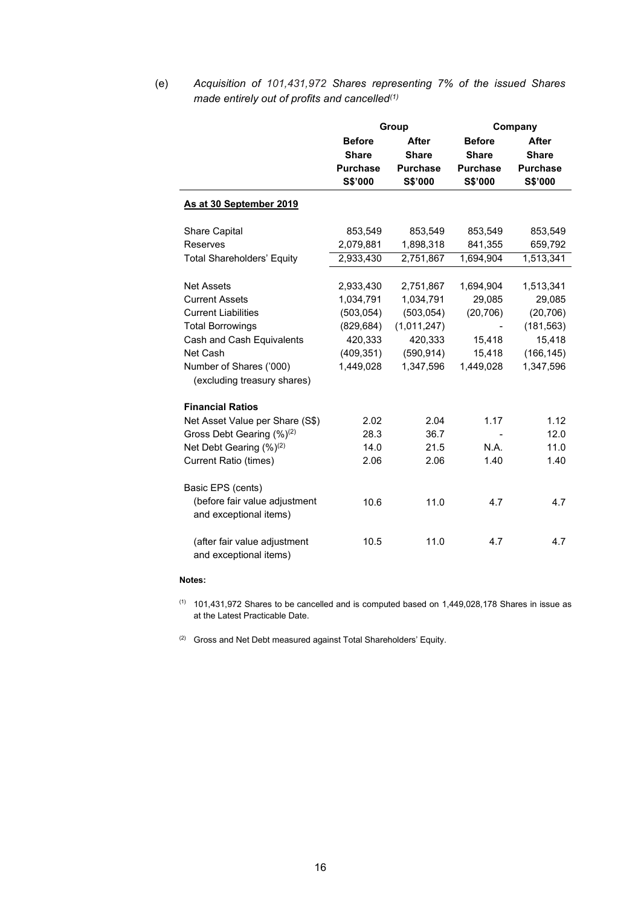(e) *Acquisition of 101,431,972 Shares representing 7% of the issued Shares made entirely out of profits and cancelled(1)* 

|                                                        |                               | Group           | Company         |                 |  |
|--------------------------------------------------------|-------------------------------|-----------------|-----------------|-----------------|--|
|                                                        | <b>Before</b><br><b>After</b> |                 | <b>Before</b>   | <b>After</b>    |  |
|                                                        | <b>Share</b>                  | <b>Share</b>    | <b>Share</b>    | <b>Share</b>    |  |
|                                                        | <b>Purchase</b>               | <b>Purchase</b> | <b>Purchase</b> | <b>Purchase</b> |  |
|                                                        | S\$'000                       | S\$'000         | S\$'000         | S\$'000         |  |
| As at 30 September 2019                                |                               |                 |                 |                 |  |
| <b>Share Capital</b>                                   | 853,549                       | 853,549         | 853,549         | 853,549         |  |
| Reserves                                               | 2,079,881                     | 1,898,318       | 841,355         | 659,792         |  |
| <b>Total Shareholders' Equity</b>                      | 2,933,430                     | 2,751,867       | 1,694,904       | 1,513,341       |  |
|                                                        |                               |                 |                 |                 |  |
| <b>Net Assets</b>                                      | 2,933,430                     | 2,751,867       | 1,694,904       | 1,513,341       |  |
| <b>Current Assets</b>                                  | 1,034,791                     | 1,034,791       | 29,085          | 29,085          |  |
| <b>Current Liabilities</b>                             | (503, 054)                    | (503, 054)      | (20, 706)       | (20, 706)       |  |
| <b>Total Borrowings</b>                                | (829, 684)                    | (1,011,247)     |                 | (181, 563)      |  |
| Cash and Cash Equivalents                              | 420,333                       | 420,333         | 15,418          | 15,418          |  |
| Net Cash                                               | (409, 351)                    | (590, 914)      | 15,418          | (166, 145)      |  |
| Number of Shares ('000)<br>(excluding treasury shares) | 1,449,028                     | 1,347,596       | 1,449,028       | 1,347,596       |  |
| <b>Financial Ratios</b>                                |                               |                 |                 |                 |  |
| Net Asset Value per Share (S\$)                        | 2.02                          | 2.04            | 1.17            | 1.12            |  |
| Gross Debt Gearing (%) <sup>(2)</sup>                  | 28.3                          | 36.7            |                 | 12.0            |  |
| Net Debt Gearing (%)(2)                                | 14.0                          | 21.5            | N.A.            | 11.0            |  |
| <b>Current Ratio (times)</b>                           | 2.06                          | 2.06            | 1.40            | 1.40            |  |
| Basic EPS (cents)                                      |                               |                 |                 |                 |  |
| (before fair value adjustment                          | 10.6                          | 11.0            | 4.7             | 4.7             |  |
| and exceptional items)                                 |                               |                 |                 |                 |  |
| (after fair value adjustment                           | 10.5                          | 11.0            | 4.7             | 4.7             |  |
| and exceptional items)                                 |                               |                 |                 |                 |  |

#### **Notes:**

- $(1)$  101,431,972 Shares to be cancelled and is computed based on 1,449,028,178 Shares in issue as at the Latest Practicable Date.
- (2) Gross and Net Debt measured against Total Shareholders' Equity.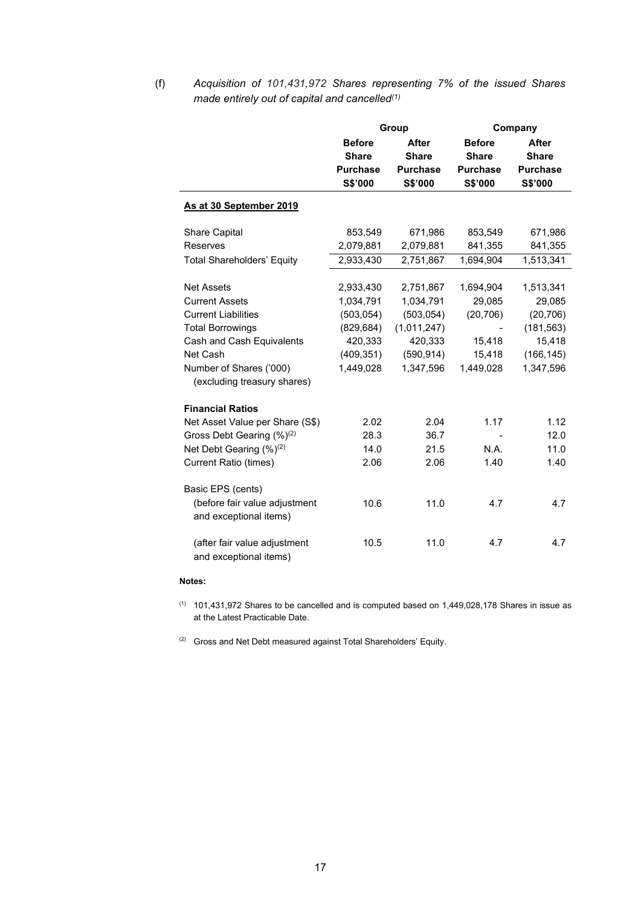(f) *Acquisition of 101,431,972 Shares representing 7% of the issued Shares made entirely out of capital and cancelled(1)* 

|                                       |                               | Group           | Company         |                 |  |
|---------------------------------------|-------------------------------|-----------------|-----------------|-----------------|--|
|                                       | <b>Before</b><br><b>After</b> |                 | <b>Before</b>   | <b>After</b>    |  |
|                                       | <b>Share</b>                  | <b>Share</b>    | <b>Share</b>    | <b>Share</b>    |  |
|                                       | <b>Purchase</b>               | <b>Purchase</b> | <b>Purchase</b> | <b>Purchase</b> |  |
|                                       | S\$'000                       | S\$'000         | S\$'000         | S\$'000         |  |
| As at 30 September 2019               |                               |                 |                 |                 |  |
| Share Capital                         | 853,549                       | 671,986         | 853,549         | 671,986         |  |
| Reserves                              | 2,079,881                     | 2,079,881       | 841,355         | 841,355         |  |
| <b>Total Shareholders' Equity</b>     | 2,933,430                     | 2,751,867       | 1,694,904       | 1,513,341       |  |
| <b>Net Assets</b>                     | 2,933,430                     | 2,751,867       | 1,694,904       | 1,513,341       |  |
| <b>Current Assets</b>                 | 1,034,791                     | 1,034,791       | 29,085          | 29,085          |  |
| <b>Current Liabilities</b>            | (503, 054)                    | (503, 054)      | (20, 706)       | (20, 706)       |  |
| <b>Total Borrowings</b>               | (829, 684)                    | (1,011,247)     |                 | (181, 563)      |  |
| Cash and Cash Equivalents             | 420,333                       | 420,333         | 15,418          | 15,418          |  |
| Net Cash                              | (409, 351)                    | (590, 914)      | 15,418          | (166, 145)      |  |
| Number of Shares ('000)               | 1,449,028                     | 1,347,596       | 1,449,028       | 1,347,596       |  |
| (excluding treasury shares)           |                               |                 |                 |                 |  |
| <b>Financial Ratios</b>               |                               |                 |                 |                 |  |
| Net Asset Value per Share (S\$)       | 2.02                          | 2.04            | 1.17            | 1.12            |  |
| Gross Debt Gearing (%) <sup>(2)</sup> | 28.3                          | 36.7            |                 | 12.0            |  |
| Net Debt Gearing (%) <sup>(2)</sup>   | 14.0                          | 21.5            | N.A.            | 11.0            |  |
| <b>Current Ratio (times)</b>          | 2.06                          | 2.06            | 1.40            | 1.40            |  |
| Basic EPS (cents)                     |                               |                 |                 |                 |  |
| (before fair value adjustment         | 10.6                          | 11.0            | 4.7             | 4.7             |  |
| and exceptional items)                |                               |                 |                 |                 |  |
|                                       |                               |                 |                 |                 |  |
| (after fair value adjustment          | 10.5                          | 11.0            | 4.7             | 4.7             |  |
| and exceptional items)                |                               |                 |                 |                 |  |

#### **Notes:**

- (1) 101,431,972 Shares to be cancelled and is computed based on 1,449,028,178 Shares in issue as at the Latest Practicable Date.
- (2) Gross and Net Debt measured against Total Shareholders' Equity.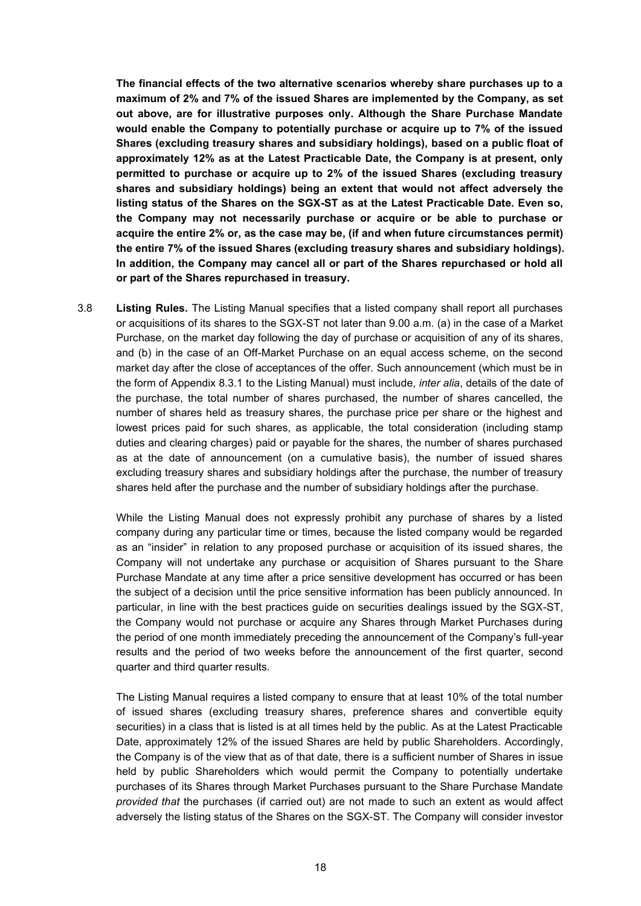**The financial effects of the two alternative scenarios whereby share purchases up to a maximum of 2% and 7% of the issued Shares are implemented by the Company, as set out above, are for illustrative purposes only. Although the Share Purchase Mandate would enable the Company to potentially purchase or acquire up to 7% of the issued Shares (excluding treasury shares and subsidiary holdings), based on a public float of approximately 12% as at the Latest Practicable Date, the Company is at present, only permitted to purchase or acquire up to 2% of the issued Shares (excluding treasury shares and subsidiary holdings) being an extent that would not affect adversely the listing status of the Shares on the SGX-ST as at the Latest Practicable Date. Even so, the Company may not necessarily purchase or acquire or be able to purchase or acquire the entire 2% or, as the case may be, (if and when future circumstances permit) the entire 7% of the issued Shares (excluding treasury shares and subsidiary holdings). In addition, the Company may cancel all or part of the Shares repurchased or hold all or part of the Shares repurchased in treasury.**

3.8 **Listing Rules.** The Listing Manual specifies that a listed company shall report all purchases or acquisitions of its shares to the SGX-ST not later than 9.00 a.m. (a) in the case of a Market Purchase, on the market day following the day of purchase or acquisition of any of its shares, and (b) in the case of an Off-Market Purchase on an equal access scheme, on the second market day after the close of acceptances of the offer. Such announcement (which must be in the form of Appendix 8.3.1 to the Listing Manual) must include, *inter alia*, details of the date of the purchase, the total number of shares purchased, the number of shares cancelled, the number of shares held as treasury shares, the purchase price per share or the highest and lowest prices paid for such shares, as applicable, the total consideration (including stamp duties and clearing charges) paid or payable for the shares, the number of shares purchased as at the date of announcement (on a cumulative basis), the number of issued shares excluding treasury shares and subsidiary holdings after the purchase, the number of treasury shares held after the purchase and the number of subsidiary holdings after the purchase.

While the Listing Manual does not expressly prohibit any purchase of shares by a listed company during any particular time or times, because the listed company would be regarded as an "insider" in relation to any proposed purchase or acquisition of its issued shares, the Company will not undertake any purchase or acquisition of Shares pursuant to the Share Purchase Mandate at any time after a price sensitive development has occurred or has been the subject of a decision until the price sensitive information has been publicly announced. In particular, in line with the best practices guide on securities dealings issued by the SGX-ST, the Company would not purchase or acquire any Shares through Market Purchases during the period of one month immediately preceding the announcement of the Company's full-year results and the period of two weeks before the announcement of the first quarter, second quarter and third quarter results.

The Listing Manual requires a listed company to ensure that at least 10% of the total number of issued shares (excluding treasury shares, preference shares and convertible equity securities) in a class that is listed is at all times held by the public. As at the Latest Practicable Date, approximately 12% of the issued Shares are held by public Shareholders. Accordingly, the Company is of the view that as of that date, there is a sufficient number of Shares in issue held by public Shareholders which would permit the Company to potentially undertake purchases of its Shares through Market Purchases pursuant to the Share Purchase Mandate *provided that* the purchases (if carried out) are not made to such an extent as would affect adversely the listing status of the Shares on the SGX-ST. The Company will consider investor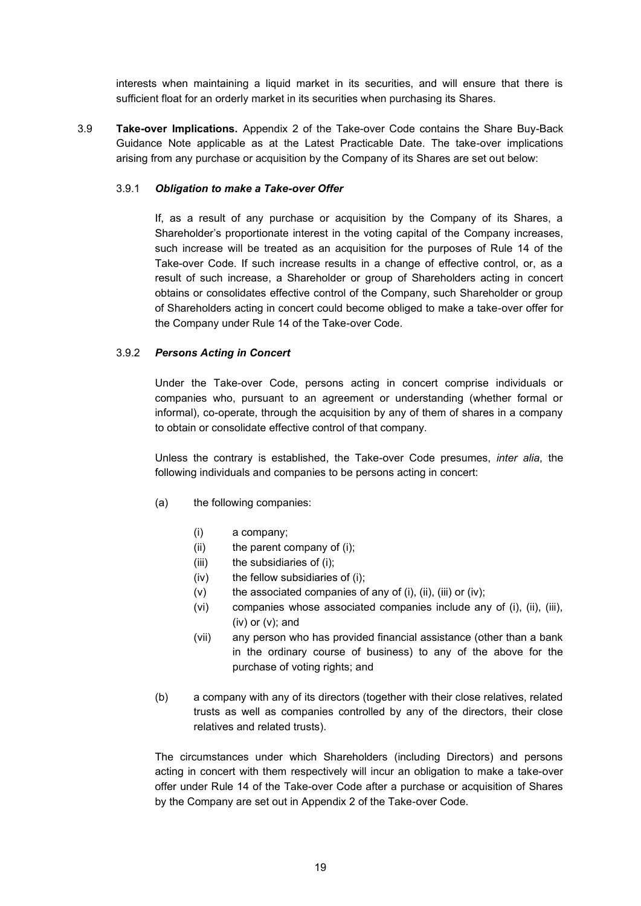interests when maintaining a liquid market in its securities, and will ensure that there is sufficient float for an orderly market in its securities when purchasing its Shares.

3.9 **Take-over Implications.** Appendix 2 of the Take-over Code contains the Share Buy-Back Guidance Note applicable as at the Latest Practicable Date. The take-over implications arising from any purchase or acquisition by the Company of its Shares are set out below:

### 3.9.1 *Obligation to make a Take-over Offer*

If, as a result of any purchase or acquisition by the Company of its Shares, a Shareholder's proportionate interest in the voting capital of the Company increases, such increase will be treated as an acquisition for the purposes of Rule 14 of the Take-over Code. If such increase results in a change of effective control, or, as a result of such increase, a Shareholder or group of Shareholders acting in concert obtains or consolidates effective control of the Company, such Shareholder or group of Shareholders acting in concert could become obliged to make a take-over offer for the Company under Rule 14 of the Take-over Code.

## 3.9.2 *Persons Acting in Concert*

Under the Take-over Code, persons acting in concert comprise individuals or companies who, pursuant to an agreement or understanding (whether formal or informal), co-operate, through the acquisition by any of them of shares in a company to obtain or consolidate effective control of that company.

Unless the contrary is established, the Take-over Code presumes, *inter alia*, the following individuals and companies to be persons acting in concert:

- (a) the following companies:
	- (i) a company;
	- (ii) the parent company of (i);
	- (iii) the subsidiaries of (i);
	- (iv) the fellow subsidiaries of (i);
	- $(v)$  the associated companies of any of (i), (ii), (iii) or (iv);
	- (vi) companies whose associated companies include any of (i), (ii), (iii),  $(iv)$  or  $(v)$ ; and
	- (vii) any person who has provided financial assistance (other than a bank in the ordinary course of business) to any of the above for the purchase of voting rights; and
- (b) a company with any of its directors (together with their close relatives, related trusts as well as companies controlled by any of the directors, their close relatives and related trusts).

The circumstances under which Shareholders (including Directors) and persons acting in concert with them respectively will incur an obligation to make a take-over offer under Rule 14 of the Take-over Code after a purchase or acquisition of Shares by the Company are set out in Appendix 2 of the Take-over Code.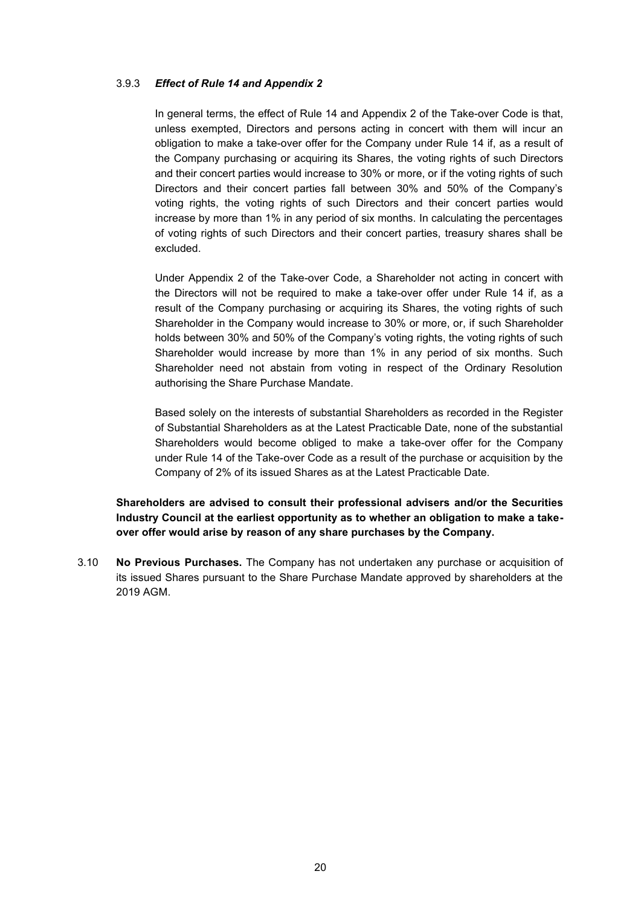### 3.9.3 *Effect of Rule 14 and Appendix 2*

In general terms, the effect of Rule 14 and Appendix 2 of the Take-over Code is that, unless exempted, Directors and persons acting in concert with them will incur an obligation to make a take-over offer for the Company under Rule 14 if, as a result of the Company purchasing or acquiring its Shares, the voting rights of such Directors and their concert parties would increase to 30% or more, or if the voting rights of such Directors and their concert parties fall between 30% and 50% of the Company's voting rights, the voting rights of such Directors and their concert parties would increase by more than 1% in any period of six months. In calculating the percentages of voting rights of such Directors and their concert parties, treasury shares shall be excluded.

Under Appendix 2 of the Take-over Code, a Shareholder not acting in concert with the Directors will not be required to make a take-over offer under Rule 14 if, as a result of the Company purchasing or acquiring its Shares, the voting rights of such Shareholder in the Company would increase to 30% or more, or, if such Shareholder holds between 30% and 50% of the Company's voting rights, the voting rights of such Shareholder would increase by more than 1% in any period of six months. Such Shareholder need not abstain from voting in respect of the Ordinary Resolution authorising the Share Purchase Mandate.

Based solely on the interests of substantial Shareholders as recorded in the Register of Substantial Shareholders as at the Latest Practicable Date, none of the substantial Shareholders would become obliged to make a take-over offer for the Company under Rule 14 of the Take-over Code as a result of the purchase or acquisition by the Company of 2% of its issued Shares as at the Latest Practicable Date.

**Shareholders are advised to consult their professional advisers and/or the Securities Industry Council at the earliest opportunity as to whether an obligation to make a takeover offer would arise by reason of any share purchases by the Company.**

3.10 **No Previous Purchases.** The Company has not undertaken any purchase or acquisition of its issued Shares pursuant to the Share Purchase Mandate approved by shareholders at the 2019 AGM.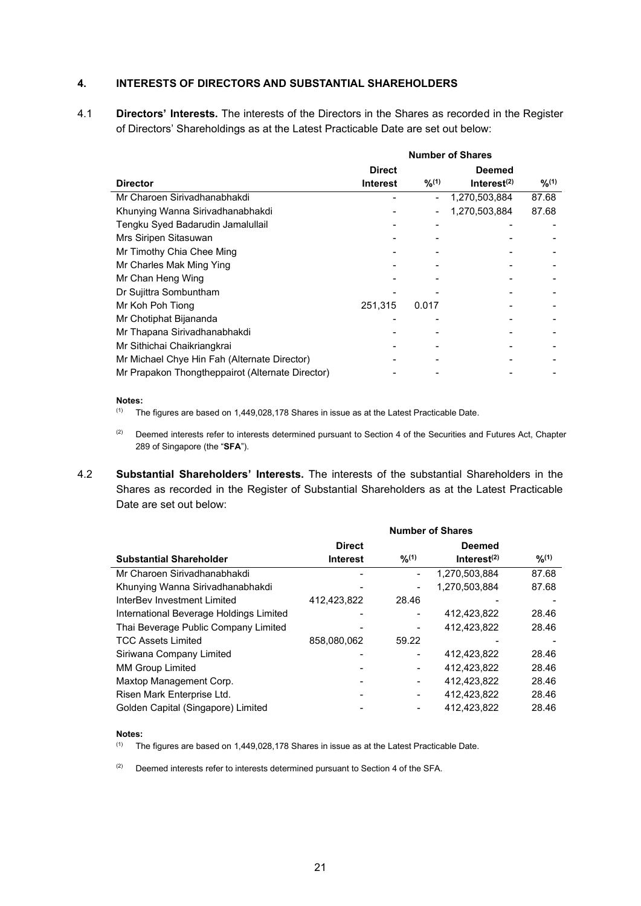### **4. INTERESTS OF DIRECTORS AND SUBSTANTIAL SHAREHOLDERS**

4.1 **Directors' Interests.** The interests of the Directors in the Shares as recorded in the Register of Directors' Shareholdings as at the Latest Practicable Date are set out below:

|                                                  | <b>Number of Shares</b> |        |                         |        |
|--------------------------------------------------|-------------------------|--------|-------------------------|--------|
|                                                  | <b>Direct</b>           |        | <b>Deemed</b>           |        |
| <b>Director</b>                                  | <b>Interest</b>         | 9/2(1) | Interest <sup>(2)</sup> | 9/2(1) |
| Mr Charoen Sirivadhanabhakdi                     |                         |        | 1,270,503,884           | 87.68  |
| Khunying Wanna Sirivadhanabhakdi                 |                         |        | 1,270,503,884           | 87.68  |
| Tengku Syed Badarudin Jamalullail                |                         |        |                         |        |
| Mrs Siripen Sitasuwan                            |                         |        |                         |        |
| Mr Timothy Chia Chee Ming                        |                         |        |                         |        |
| Mr Charles Mak Ming Ying                         |                         |        |                         |        |
| Mr Chan Heng Wing                                |                         |        |                         |        |
| Dr Sujittra Sombuntham                           |                         |        |                         |        |
| Mr Koh Poh Tiong                                 | 251,315                 | 0.017  |                         |        |
| Mr Chotiphat Bijananda                           |                         |        |                         |        |
| Mr Thapana Sirivadhanabhakdi                     |                         |        |                         |        |
| Mr Sithichai Chaikriangkrai                      |                         |        |                         |        |
| Mr Michael Chye Hin Fah (Alternate Director)     |                         |        |                         |        |
| Mr Prapakon Thongtheppairot (Alternate Director) |                         |        |                         |        |

#### **Notes:**

- $(1)$  The figures are based on 1,449,028,178 Shares in issue as at the Latest Practicable Date.
- (2) Deemed interests refer to interests determined pursuant to Section 4 of the Securities and Futures Act, Chapter 289 of Singapore (the "**SFA**").
- 4.2 **Substantial Shareholders' Interests.** The interests of the substantial Shareholders in the Shares as recorded in the Register of Substantial Shareholders as at the Latest Practicable Date are set out below:

|                                         | <b>Number of Shares</b> |        |                |        |  |
|-----------------------------------------|-------------------------|--------|----------------|--------|--|
|                                         | <b>Direct</b>           |        | <b>Deemed</b>  |        |  |
| <b>Substantial Shareholder</b>          | <b>Interest</b>         | 9/2(1) | Interest $(2)$ | 9/2(1) |  |
| Mr Charoen Sirivadhanabhakdi            |                         |        | 1,270,503,884  | 87.68  |  |
| Khunying Wanna Sirivadhanabhakdi        |                         |        | 1,270,503,884  | 87.68  |  |
| InterBev Investment Limited             | 412,423,822             | 28.46  |                |        |  |
| International Beverage Holdings Limited |                         |        | 412,423,822    | 28.46  |  |
| Thai Beverage Public Company Limited    |                         |        | 412,423,822    | 28.46  |  |
| <b>TCC Assets Limited</b>               | 858,080,062             | 59.22  |                |        |  |
| Siriwana Company Limited                |                         |        | 412,423,822    | 28.46  |  |
| <b>MM Group Limited</b>                 |                         |        | 412.423.822    | 28.46  |  |
| Maxtop Management Corp.                 |                         |        | 412.423.822    | 28.46  |  |
| Risen Mark Enterprise Ltd.              |                         |        | 412.423.822    | 28.46  |  |
| Golden Capital (Singapore) Limited      |                         |        | 412,423,822    | 28.46  |  |

#### **Notes:**

 $(1)$  The figures are based on 1,449,028,178 Shares in issue as at the Latest Practicable Date.

 $(2)$  Deemed interests refer to interests determined pursuant to Section 4 of the SFA.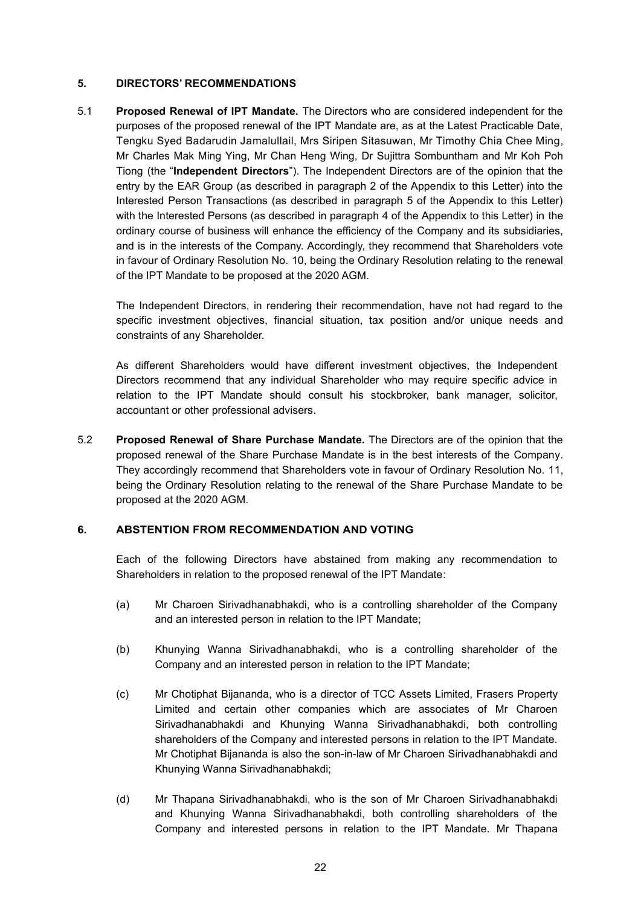### **5. DIRECTORS' RECOMMENDATIONS**

5.1 **Proposed Renewal of IPT Mandate.** The Directors who are considered independent for the purposes of the proposed renewal of the IPT Mandate are, as at the Latest Practicable Date, Tengku Syed Badarudin Jamalullail, Mrs Siripen Sitasuwan, Mr Timothy Chia Chee Ming, Mr Charles Mak Ming Ying, Mr Chan Heng Wing, Dr Sujittra Sombuntham and Mr Koh Poh Tiong (the "**Independent Directors**"). The Independent Directors are of the opinion that the entry by the EAR Group (as described in paragraph 2 of the Appendix to this Letter) into the Interested Person Transactions (as described in paragraph 5 of the Appendix to this Letter) with the Interested Persons (as described in paragraph 4 of the Appendix to this Letter) in the ordinary course of business will enhance the efficiency of the Company and its subsidiaries, and is in the interests of the Company. Accordingly, they recommend that Shareholders vote in favour of Ordinary Resolution No. 10, being the Ordinary Resolution relating to the renewal of the IPT Mandate to be proposed at the 2020 AGM.

The Independent Directors, in rendering their recommendation, have not had regard to the specific investment objectives, financial situation, tax position and/or unique needs and constraints of any Shareholder.

As different Shareholders would have different investment objectives, the Independent Directors recommend that any individual Shareholder who may require specific advice in relation to the IPT Mandate should consult his stockbroker, bank manager, solicitor, accountant or other professional advisers.

5.2 **Proposed Renewal of Share Purchase Mandate.** The Directors are of the opinion that the proposed renewal of the Share Purchase Mandate is in the best interests of the Company. They accordingly recommend that Shareholders vote in favour of Ordinary Resolution No. 11, being the Ordinary Resolution relating to the renewal of the Share Purchase Mandate to be proposed at the 2020 AGM.

### **6. ABSTENTION FROM RECOMMENDATION AND VOTING**

Each of the following Directors have abstained from making any recommendation to Shareholders in relation to the proposed renewal of the IPT Mandate:

- (a) Mr Charoen Sirivadhanabhakdi, who is a controlling shareholder of the Company and an interested person in relation to the IPT Mandate;
- (b) Khunying Wanna Sirivadhanabhakdi, who is a controlling shareholder of the Company and an interested person in relation to the IPT Mandate;
- (c) Mr Chotiphat Bijananda, who is a director of TCC Assets Limited, Frasers Property Limited and certain other companies which are associates of Mr Charoen Sirivadhanabhakdi and Khunying Wanna Sirivadhanabhakdi, both controlling shareholders of the Company and interested persons in relation to the IPT Mandate. Mr Chotiphat Bijananda is also the son-in-law of Mr Charoen Sirivadhanabhakdi and Khunying Wanna Sirivadhanabhakdi;
- (d) Mr Thapana Sirivadhanabhakdi, who is the son of Mr Charoen Sirivadhanabhakdi and Khunying Wanna Sirivadhanabhakdi, both controlling shareholders of the Company and interested persons in relation to the IPT Mandate. Mr Thapana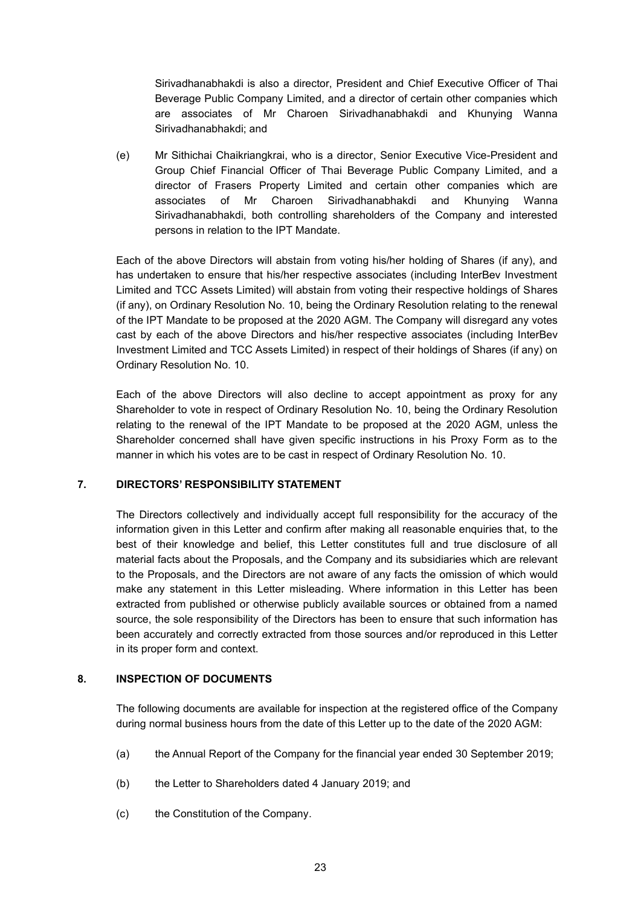Sirivadhanabhakdi is also a director, President and Chief Executive Officer of Thai Beverage Public Company Limited, and a director of certain other companies which are associates of Mr Charoen Sirivadhanabhakdi and Khunying Wanna Sirivadhanabhakdi; and

(e) Mr Sithichai Chaikriangkrai, who is a director, Senior Executive Vice-President and Group Chief Financial Officer of Thai Beverage Public Company Limited, and a director of Frasers Property Limited and certain other companies which are associates of Mr Charoen Sirivadhanabhakdi and Khunying Wanna Sirivadhanabhakdi, both controlling shareholders of the Company and interested persons in relation to the IPT Mandate.

Each of the above Directors will abstain from voting his/her holding of Shares (if any), and has undertaken to ensure that his/her respective associates (including InterBev Investment Limited and TCC Assets Limited) will abstain from voting their respective holdings of Shares (if any), on Ordinary Resolution No. 10, being the Ordinary Resolution relating to the renewal of the IPT Mandate to be proposed at the 2020 AGM. The Company will disregard any votes cast by each of the above Directors and his/her respective associates (including InterBev Investment Limited and TCC Assets Limited) in respect of their holdings of Shares (if any) on Ordinary Resolution No. 10.

Each of the above Directors will also decline to accept appointment as proxy for any Shareholder to vote in respect of Ordinary Resolution No. 10, being the Ordinary Resolution relating to the renewal of the IPT Mandate to be proposed at the 2020 AGM, unless the Shareholder concerned shall have given specific instructions in his Proxy Form as to the manner in which his votes are to be cast in respect of Ordinary Resolution No. 10.

### **7. DIRECTORS' RESPONSIBILITY STATEMENT**

The Directors collectively and individually accept full responsibility for the accuracy of the information given in this Letter and confirm after making all reasonable enquiries that, to the best of their knowledge and belief, this Letter constitutes full and true disclosure of all material facts about the Proposals, and the Company and its subsidiaries which are relevant to the Proposals, and the Directors are not aware of any facts the omission of which would make any statement in this Letter misleading. Where information in this Letter has been extracted from published or otherwise publicly available sources or obtained from a named source, the sole responsibility of the Directors has been to ensure that such information has been accurately and correctly extracted from those sources and/or reproduced in this Letter in its proper form and context.

# **8. INSPECTION OF DOCUMENTS**

The following documents are available for inspection at the registered office of the Company during normal business hours from the date of this Letter up to the date of the 2020 AGM:

- (a) the Annual Report of the Company for the financial year ended 30 September 2019;
- (b) the Letter to Shareholders dated 4 January 2019; and
- (c) the Constitution of the Company.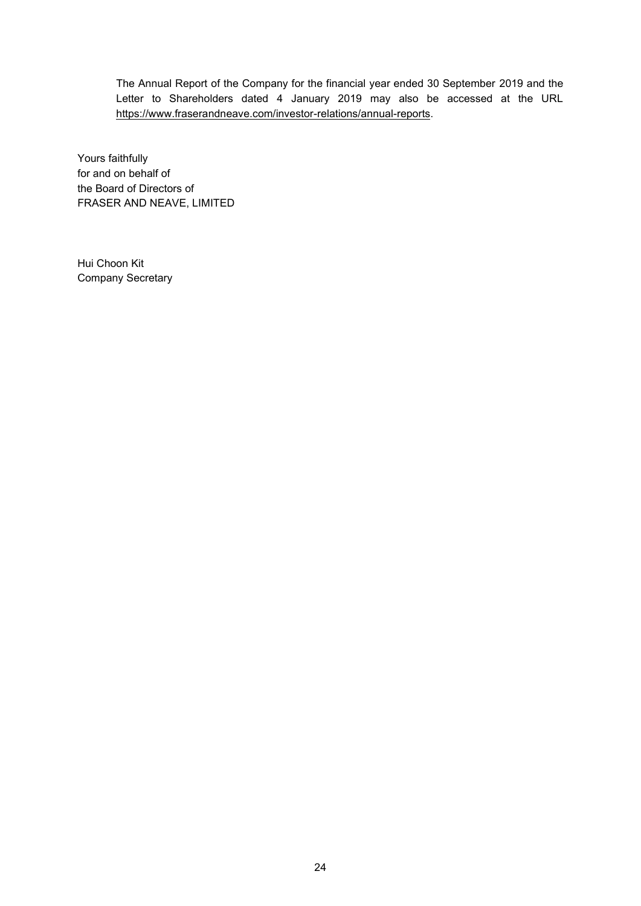The Annual Report of the Company for the financial year ended 30 September 2019 and the Letter to Shareholders dated 4 January 2019 may also be accessed at the URL https://www.fraserandneave.com/investor-relations/annual-reports.

Yours faithfully for and on behalf of the Board of Directors of FRASER AND NEAVE, LIMITED

Hui Choon Kit Company Secretary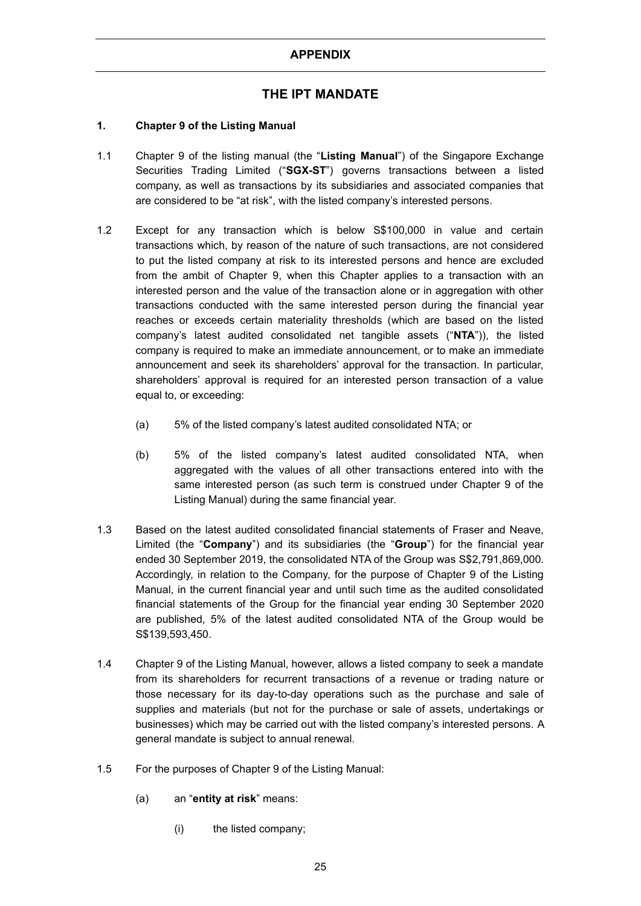# **THE IPT MANDATE**

# **1. Chapter 9 of the Listing Manual**

- 1.1 Chapter 9 of the listing manual (the "**Listing Manual**") of the Singapore Exchange Securities Trading Limited ("**SGX-ST**") governs transactions between a listed company, as well as transactions by its subsidiaries and associated companies that are considered to be "at risk", with the listed company's interested persons.
- 1.2 Except for any transaction which is below S\$100,000 in value and certain transactions which, by reason of the nature of such transactions, are not considered to put the listed company at risk to its interested persons and hence are excluded from the ambit of Chapter 9, when this Chapter applies to a transaction with an interested person and the value of the transaction alone or in aggregation with other transactions conducted with the same interested person during the financial year reaches or exceeds certain materiality thresholds (which are based on the listed company's latest audited consolidated net tangible assets ("**NTA**")), the listed company is required to make an immediate announcement, or to make an immediate announcement and seek its shareholders' approval for the transaction. In particular, shareholders' approval is required for an interested person transaction of a value equal to, or exceeding:
	- (a) 5% of the listed company's latest audited consolidated NTA; or
	- (b) 5% of the listed company's latest audited consolidated NTA, when aggregated with the values of all other transactions entered into with the same interested person (as such term is construed under Chapter 9 of the Listing Manual) during the same financial year.
- 1.3 Based on the latest audited consolidated financial statements of Fraser and Neave, Limited (the "**Company**") and its subsidiaries (the "**Group**") for the financial year ended 30 September 2019, the consolidated NTA of the Group was S\$2,791,869,000. Accordingly, in relation to the Company, for the purpose of Chapter 9 of the Listing Manual, in the current financial year and until such time as the audited consolidated financial statements of the Group for the financial year ending 30 September 2020 are published, 5% of the latest audited consolidated NTA of the Group would be S\$139,593,450.
- 1.4 Chapter 9 of the Listing Manual, however, allows a listed company to seek a mandate from its shareholders for recurrent transactions of a revenue or trading nature or those necessary for its day-to-day operations such as the purchase and sale of supplies and materials (but not for the purchase or sale of assets, undertakings or businesses) which may be carried out with the listed company's interested persons. A general mandate is subject to annual renewal.
- 1.5 For the purposes of Chapter 9 of the Listing Manual:
	- (a) an "**entity at risk**" means:
		- (i) the listed company;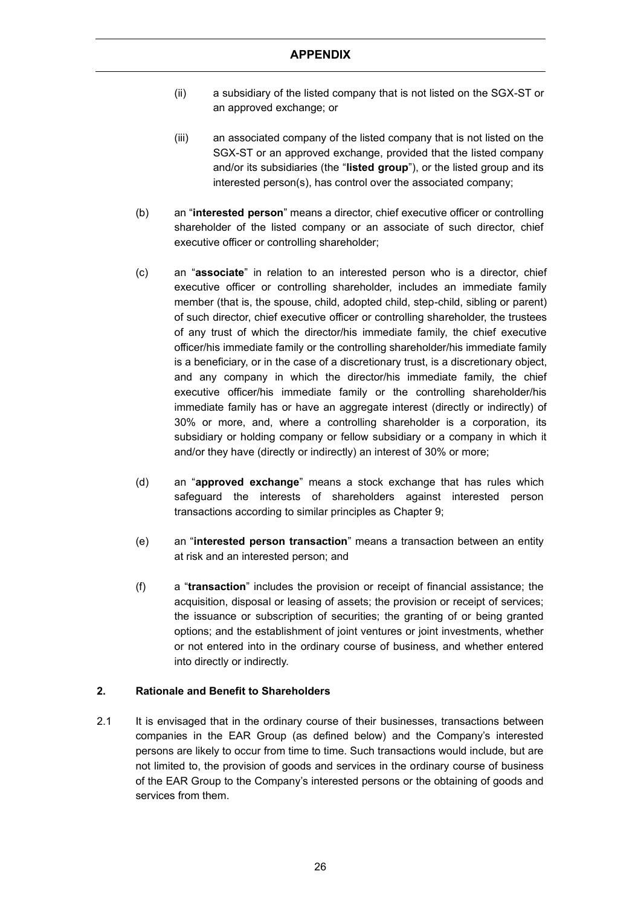- (ii) a subsidiary of the listed company that is not listed on the SGX-ST or an approved exchange; or
- (iii) an associated company of the listed company that is not listed on the SGX-ST or an approved exchange, provided that the listed company and/or its subsidiaries (the "**listed group**"), or the listed group and its interested person(s), has control over the associated company;
- (b) an "**interested person**" means a director, chief executive officer or controlling shareholder of the listed company or an associate of such director, chief executive officer or controlling shareholder;
- (c) an "**associate**" in relation to an interested person who is a director, chief executive officer or controlling shareholder, includes an immediate family member (that is, the spouse, child, adopted child, step-child, sibling or parent) of such director, chief executive officer or controlling shareholder, the trustees of any trust of which the director/his immediate family, the chief executive officer/his immediate family or the controlling shareholder/his immediate family is a beneficiary, or in the case of a discretionary trust, is a discretionary object, and any company in which the director/his immediate family, the chief executive officer/his immediate family or the controlling shareholder/his immediate family has or have an aggregate interest (directly or indirectly) of 30% or more, and, where a controlling shareholder is a corporation, its subsidiary or holding company or fellow subsidiary or a company in which it and/or they have (directly or indirectly) an interest of 30% or more;
- (d) an "**approved exchange**" means a stock exchange that has rules which safeguard the interests of shareholders against interested person transactions according to similar principles as Chapter 9;
- (e) an "**interested person transaction**" means a transaction between an entity at risk and an interested person; and
- (f) a "**transaction**" includes the provision or receipt of financial assistance; the acquisition, disposal or leasing of assets; the provision or receipt of services; the issuance or subscription of securities; the granting of or being granted options; and the establishment of joint ventures or joint investments, whether or not entered into in the ordinary course of business, and whether entered into directly or indirectly.

### **2. Rationale and Benefit to Shareholders**

2.1 It is envisaged that in the ordinary course of their businesses, transactions between companies in the EAR Group (as defined below) and the Company's interested persons are likely to occur from time to time. Such transactions would include, but are not limited to, the provision of goods and services in the ordinary course of business of the EAR Group to the Company's interested persons or the obtaining of goods and services from them.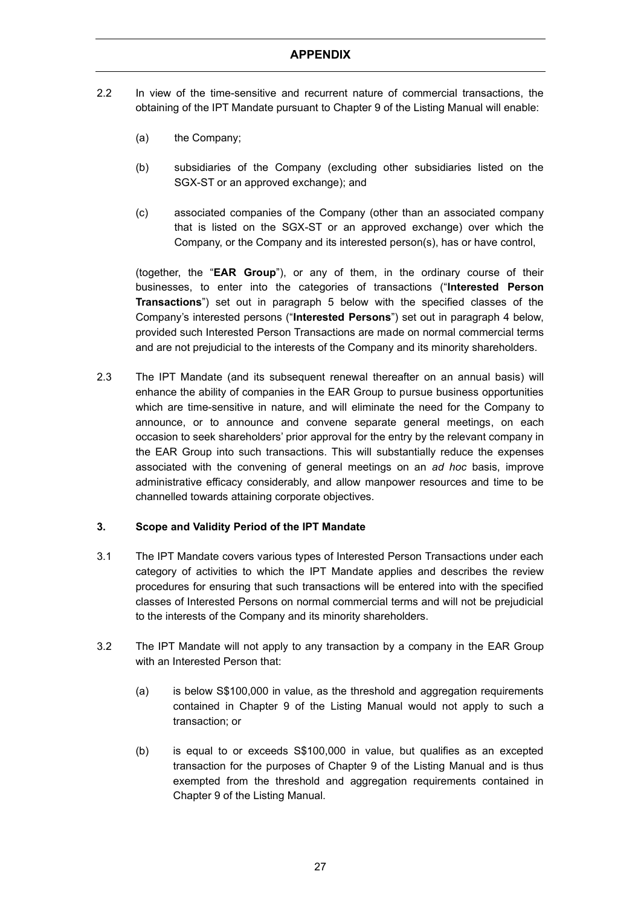- 2.2 In view of the time-sensitive and recurrent nature of commercial transactions, the obtaining of the IPT Mandate pursuant to Chapter 9 of the Listing Manual will enable:
	- (a) the Company;
	- (b) subsidiaries of the Company (excluding other subsidiaries listed on the SGX-ST or an approved exchange); and
	- (c) associated companies of the Company (other than an associated company that is listed on the SGX-ST or an approved exchange) over which the Company, or the Company and its interested person(s), has or have control,

(together, the "**EAR Group**"), or any of them, in the ordinary course of their businesses, to enter into the categories of transactions ("**Interested Person Transactions**") set out in paragraph 5 below with the specified classes of the Company's interested persons ("**Interested Persons**") set out in paragraph 4 below, provided such Interested Person Transactions are made on normal commercial terms and are not prejudicial to the interests of the Company and its minority shareholders.

2.3 The IPT Mandate (and its subsequent renewal thereafter on an annual basis) will enhance the ability of companies in the EAR Group to pursue business opportunities which are time-sensitive in nature, and will eliminate the need for the Company to announce, or to announce and convene separate general meetings, on each occasion to seek shareholders' prior approval for the entry by the relevant company in the EAR Group into such transactions. This will substantially reduce the expenses associated with the convening of general meetings on an *ad hoc* basis, improve administrative efficacy considerably, and allow manpower resources and time to be channelled towards attaining corporate objectives.

### **3. Scope and Validity Period of the IPT Mandate**

- 3.1 The IPT Mandate covers various types of Interested Person Transactions under each category of activities to which the IPT Mandate applies and describes the review procedures for ensuring that such transactions will be entered into with the specified classes of Interested Persons on normal commercial terms and will not be prejudicial to the interests of the Company and its minority shareholders.
- 3.2 The IPT Mandate will not apply to any transaction by a company in the EAR Group with an Interested Person that:
	- (a) is below S\$100,000 in value, as the threshold and aggregation requirements contained in Chapter 9 of the Listing Manual would not apply to such a transaction; or
	- (b) is equal to or exceeds S\$100,000 in value, but qualifies as an excepted transaction for the purposes of Chapter 9 of the Listing Manual and is thus exempted from the threshold and aggregation requirements contained in Chapter 9 of the Listing Manual.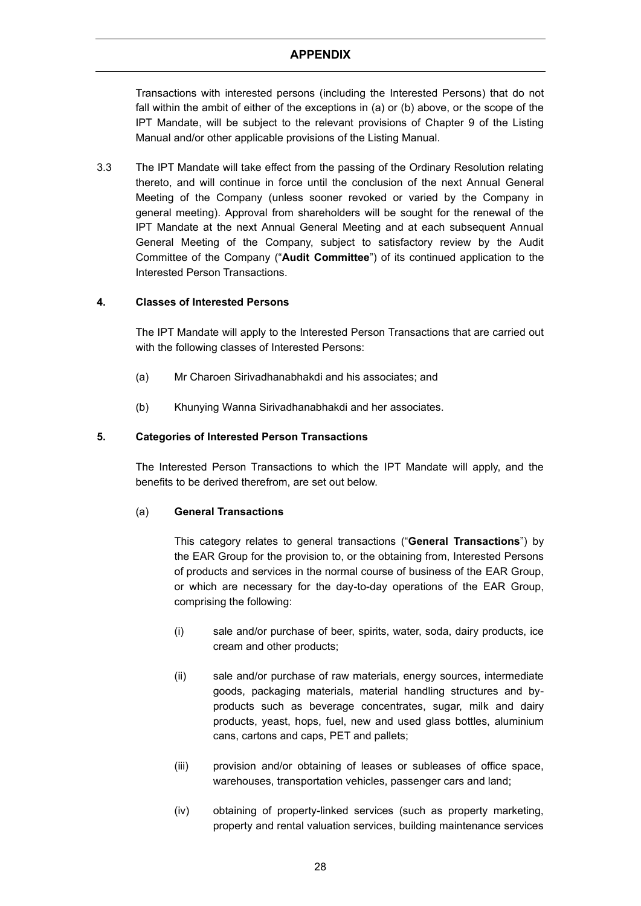Transactions with interested persons (including the Interested Persons) that do not fall within the ambit of either of the exceptions in (a) or (b) above, or the scope of the IPT Mandate, will be subject to the relevant provisions of Chapter 9 of the Listing Manual and/or other applicable provisions of the Listing Manual.

3.3 The IPT Mandate will take effect from the passing of the Ordinary Resolution relating thereto, and will continue in force until the conclusion of the next Annual General Meeting of the Company (unless sooner revoked or varied by the Company in general meeting). Approval from shareholders will be sought for the renewal of the IPT Mandate at the next Annual General Meeting and at each subsequent Annual General Meeting of the Company, subject to satisfactory review by the Audit Committee of the Company ("**Audit Committee**") of its continued application to the Interested Person Transactions.

### **4. Classes of Interested Persons**

The IPT Mandate will apply to the Interested Person Transactions that are carried out with the following classes of Interested Persons:

- (a) Mr Charoen Sirivadhanabhakdi and his associates; and
- (b) Khunying Wanna Sirivadhanabhakdi and her associates.

### **5. Categories of Interested Person Transactions**

The Interested Person Transactions to which the IPT Mandate will apply, and the benefits to be derived therefrom, are set out below.

### (a) **General Transactions**

This category relates to general transactions ("**General Transactions**") by the EAR Group for the provision to, or the obtaining from, Interested Persons of products and services in the normal course of business of the EAR Group, or which are necessary for the day-to-day operations of the EAR Group, comprising the following:

- (i) sale and/or purchase of beer, spirits, water, soda, dairy products, ice cream and other products;
- (ii) sale and/or purchase of raw materials, energy sources, intermediate goods, packaging materials, material handling structures and byproducts such as beverage concentrates, sugar, milk and dairy products, yeast, hops, fuel, new and used glass bottles, aluminium cans, cartons and caps, PET and pallets;
- (iii) provision and/or obtaining of leases or subleases of office space, warehouses, transportation vehicles, passenger cars and land;
- (iv) obtaining of property-linked services (such as property marketing, property and rental valuation services, building maintenance services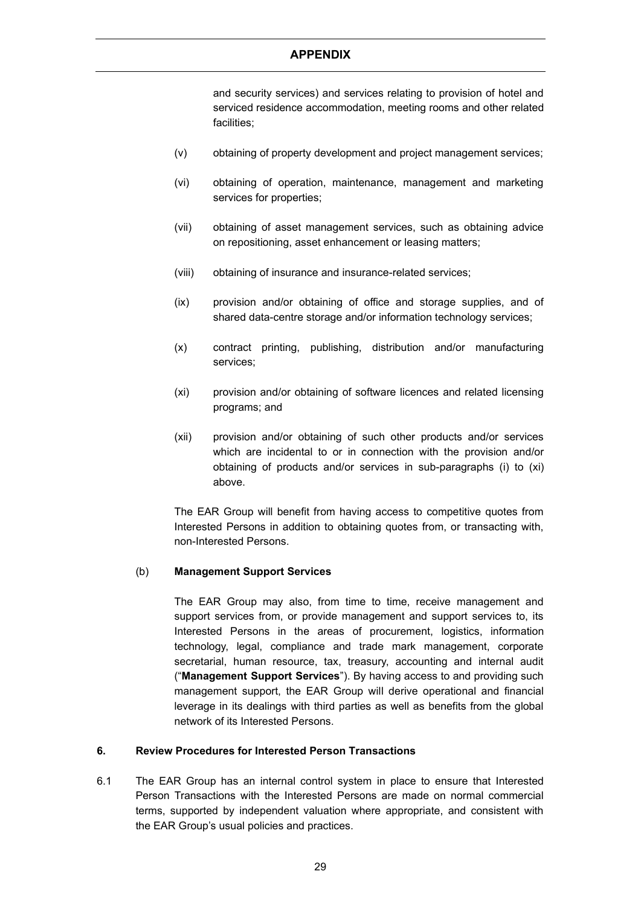and security services) and services relating to provision of hotel and serviced residence accommodation, meeting rooms and other related facilities;

- (v) obtaining of property development and project management services;
- (vi) obtaining of operation, maintenance, management and marketing services for properties;
- (vii) obtaining of asset management services, such as obtaining advice on repositioning, asset enhancement or leasing matters;
- (viii) obtaining of insurance and insurance-related services;
- (ix) provision and/or obtaining of office and storage supplies, and of shared data-centre storage and/or information technology services;
- (x) contract printing, publishing, distribution and/or manufacturing services;
- (xi) provision and/or obtaining of software licences and related licensing programs; and
- (xii) provision and/or obtaining of such other products and/or services which are incidental to or in connection with the provision and/or obtaining of products and/or services in sub-paragraphs (i) to (xi) above.

The EAR Group will benefit from having access to competitive quotes from Interested Persons in addition to obtaining quotes from, or transacting with, non-Interested Persons.

### (b) **Management Support Services**

The EAR Group may also, from time to time, receive management and support services from, or provide management and support services to, its Interested Persons in the areas of procurement, logistics, information technology, legal, compliance and trade mark management, corporate secretarial, human resource, tax, treasury, accounting and internal audit ("**Management Support Services**"). By having access to and providing such management support, the EAR Group will derive operational and financial leverage in its dealings with third parties as well as benefits from the global network of its Interested Persons.

### **6. Review Procedures for Interested Person Transactions**

6.1 The EAR Group has an internal control system in place to ensure that Interested Person Transactions with the Interested Persons are made on normal commercial terms, supported by independent valuation where appropriate, and consistent with the EAR Group's usual policies and practices.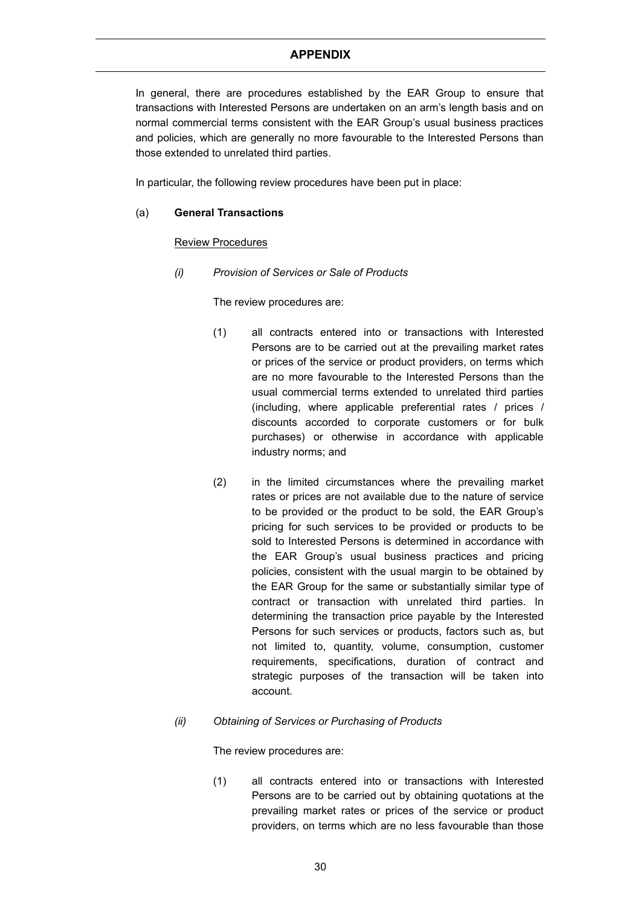In general, there are procedures established by the EAR Group to ensure that transactions with Interested Persons are undertaken on an arm's length basis and on normal commercial terms consistent with the EAR Group's usual business practices and policies, which are generally no more favourable to the Interested Persons than those extended to unrelated third parties.

In particular, the following review procedures have been put in place:

### (a) **General Transactions**

### Review Procedures

*(i) Provision of Services or Sale of Products*

The review procedures are:

- (1) all contracts entered into or transactions with Interested Persons are to be carried out at the prevailing market rates or prices of the service or product providers, on terms which are no more favourable to the Interested Persons than the usual commercial terms extended to unrelated third parties (including, where applicable preferential rates / prices / discounts accorded to corporate customers or for bulk purchases) or otherwise in accordance with applicable industry norms; and
- (2) in the limited circumstances where the prevailing market rates or prices are not available due to the nature of service to be provided or the product to be sold, the EAR Group's pricing for such services to be provided or products to be sold to Interested Persons is determined in accordance with the EAR Group's usual business practices and pricing policies, consistent with the usual margin to be obtained by the EAR Group for the same or substantially similar type of contract or transaction with unrelated third parties. In determining the transaction price payable by the Interested Persons for such services or products, factors such as, but not limited to, quantity, volume, consumption, customer requirements, specifications, duration of contract and strategic purposes of the transaction will be taken into account.

### *(ii) Obtaining of Services or Purchasing of Products*

The review procedures are:

(1) all contracts entered into or transactions with Interested Persons are to be carried out by obtaining quotations at the prevailing market rates or prices of the service or product providers, on terms which are no less favourable than those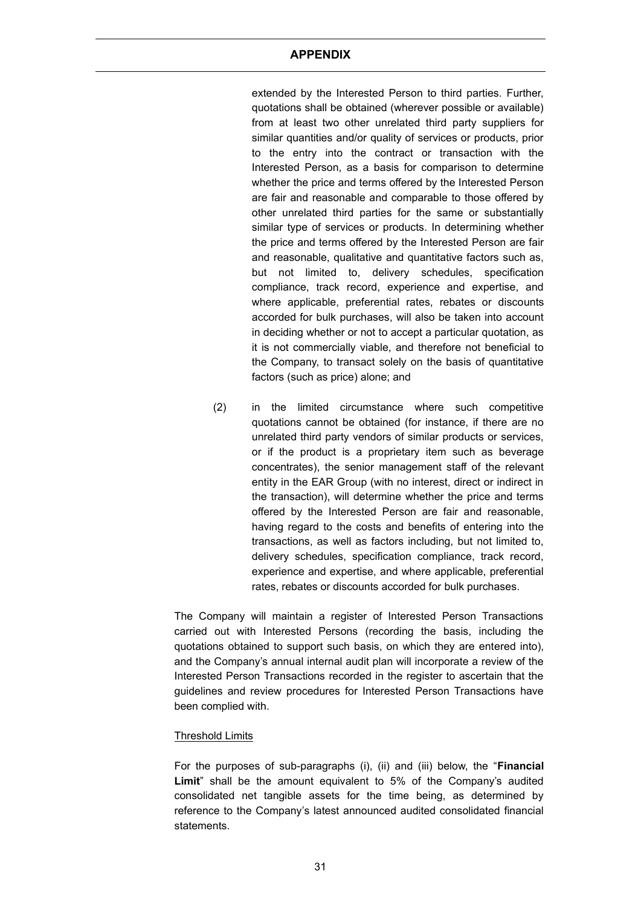extended by the Interested Person to third parties. Further, quotations shall be obtained (wherever possible or available) from at least two other unrelated third party suppliers for similar quantities and/or quality of services or products, prior to the entry into the contract or transaction with the Interested Person, as a basis for comparison to determine whether the price and terms offered by the Interested Person are fair and reasonable and comparable to those offered by other unrelated third parties for the same or substantially similar type of services or products. In determining whether the price and terms offered by the Interested Person are fair and reasonable, qualitative and quantitative factors such as, but not limited to, delivery schedules, specification compliance, track record, experience and expertise, and where applicable, preferential rates, rebates or discounts accorded for bulk purchases, will also be taken into account in deciding whether or not to accept a particular quotation, as it is not commercially viable, and therefore not beneficial to the Company, to transact solely on the basis of quantitative factors (such as price) alone; and

(2) in the limited circumstance where such competitive quotations cannot be obtained (for instance, if there are no unrelated third party vendors of similar products or services, or if the product is a proprietary item such as beverage concentrates), the senior management staff of the relevant entity in the EAR Group (with no interest, direct or indirect in the transaction), will determine whether the price and terms offered by the Interested Person are fair and reasonable, having regard to the costs and benefits of entering into the transactions, as well as factors including, but not limited to, delivery schedules, specification compliance, track record, experience and expertise, and where applicable, preferential rates, rebates or discounts accorded for bulk purchases.

The Company will maintain a register of Interested Person Transactions carried out with Interested Persons (recording the basis, including the quotations obtained to support such basis, on which they are entered into), and the Company's annual internal audit plan will incorporate a review of the Interested Person Transactions recorded in the register to ascertain that the guidelines and review procedures for Interested Person Transactions have been complied with.

### Threshold Limits

For the purposes of sub-paragraphs (i), (ii) and (iii) below, the "**Financial Limit**" shall be the amount equivalent to 5% of the Company's audited consolidated net tangible assets for the time being, as determined by reference to the Company's latest announced audited consolidated financial statements.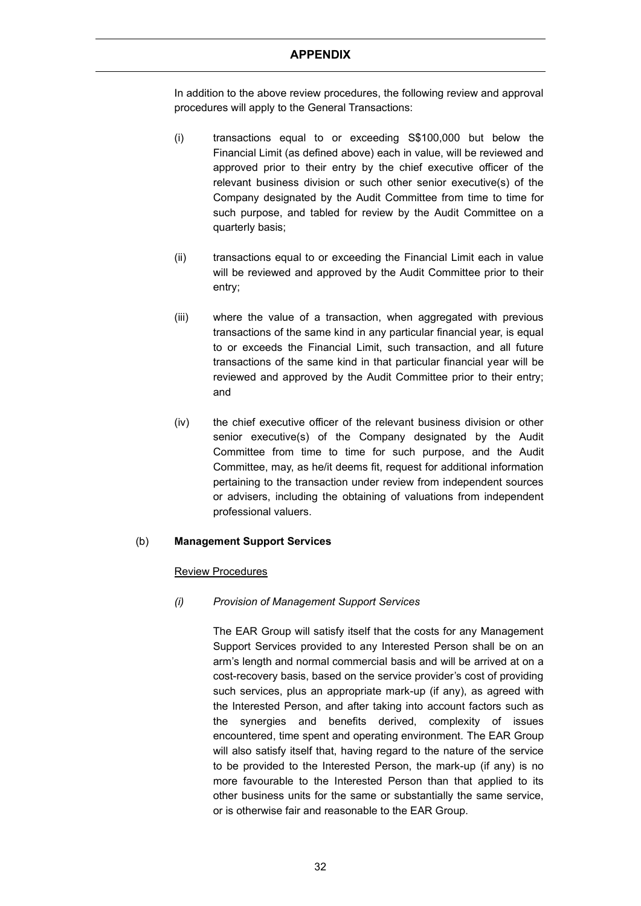In addition to the above review procedures, the following review and approval procedures will apply to the General Transactions:

- (i) transactions equal to or exceeding S\$100,000 but below the Financial Limit (as defined above) each in value, will be reviewed and approved prior to their entry by the chief executive officer of the relevant business division or such other senior executive(s) of the Company designated by the Audit Committee from time to time for such purpose, and tabled for review by the Audit Committee on a quarterly basis;
- (ii) transactions equal to or exceeding the Financial Limit each in value will be reviewed and approved by the Audit Committee prior to their entry;
- (iii) where the value of a transaction, when aggregated with previous transactions of the same kind in any particular financial year, is equal to or exceeds the Financial Limit, such transaction, and all future transactions of the same kind in that particular financial year will be reviewed and approved by the Audit Committee prior to their entry; and
- (iv) the chief executive officer of the relevant business division or other senior executive(s) of the Company designated by the Audit Committee from time to time for such purpose, and the Audit Committee, may, as he/it deems fit, request for additional information pertaining to the transaction under review from independent sources or advisers, including the obtaining of valuations from independent professional valuers.

### (b) **Management Support Services**

### Review Procedures

### *(i) Provision of Management Support Services*

The EAR Group will satisfy itself that the costs for any Management Support Services provided to any Interested Person shall be on an arm's length and normal commercial basis and will be arrived at on a cost-recovery basis, based on the service provider's cost of providing such services, plus an appropriate mark-up (if any), as agreed with the Interested Person, and after taking into account factors such as the synergies and benefits derived, complexity of issues encountered, time spent and operating environment. The EAR Group will also satisfy itself that, having regard to the nature of the service to be provided to the Interested Person, the mark-up (if any) is no more favourable to the Interested Person than that applied to its other business units for the same or substantially the same service, or is otherwise fair and reasonable to the EAR Group.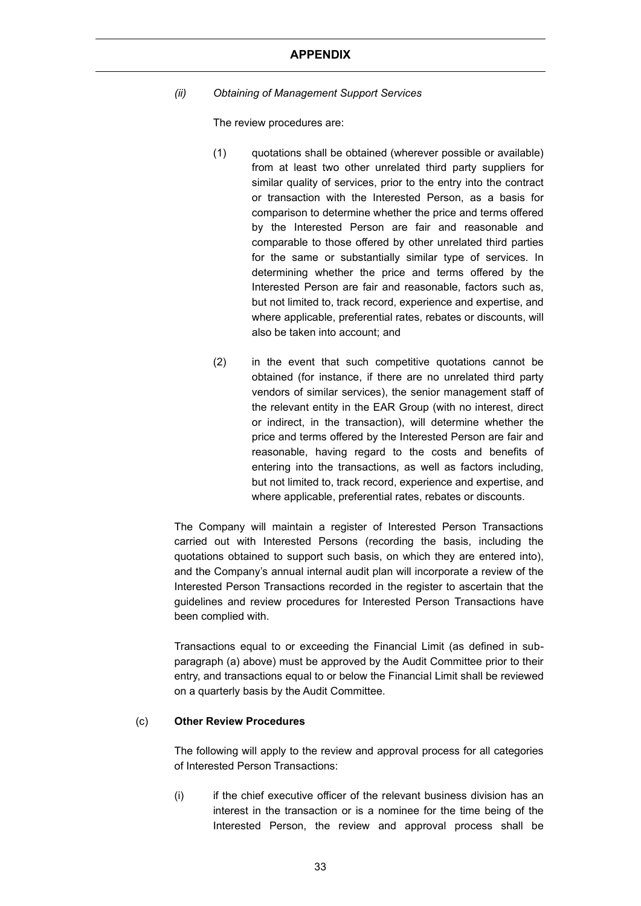*(ii) Obtaining of Management Support Services*

The review procedures are:

- (1) quotations shall be obtained (wherever possible or available) from at least two other unrelated third party suppliers for similar quality of services, prior to the entry into the contract or transaction with the Interested Person, as a basis for comparison to determine whether the price and terms offered by the Interested Person are fair and reasonable and comparable to those offered by other unrelated third parties for the same or substantially similar type of services. In determining whether the price and terms offered by the Interested Person are fair and reasonable, factors such as, but not limited to, track record, experience and expertise, and where applicable, preferential rates, rebates or discounts, will also be taken into account; and
- (2) in the event that such competitive quotations cannot be obtained (for instance, if there are no unrelated third party vendors of similar services), the senior management staff of the relevant entity in the EAR Group (with no interest, direct or indirect, in the transaction), will determine whether the price and terms offered by the Interested Person are fair and reasonable, having regard to the costs and benefits of entering into the transactions, as well as factors including, but not limited to, track record, experience and expertise, and where applicable, preferential rates, rebates or discounts.

The Company will maintain a register of Interested Person Transactions carried out with Interested Persons (recording the basis, including the quotations obtained to support such basis, on which they are entered into), and the Company's annual internal audit plan will incorporate a review of the Interested Person Transactions recorded in the register to ascertain that the guidelines and review procedures for Interested Person Transactions have been complied with.

Transactions equal to or exceeding the Financial Limit (as defined in subparagraph (a) above) must be approved by the Audit Committee prior to their entry, and transactions equal to or below the Financial Limit shall be reviewed on a quarterly basis by the Audit Committee.

### (c) **Other Review Procedures**

The following will apply to the review and approval process for all categories of Interested Person Transactions:

(i) if the chief executive officer of the relevant business division has an interest in the transaction or is a nominee for the time being of the Interested Person, the review and approval process shall be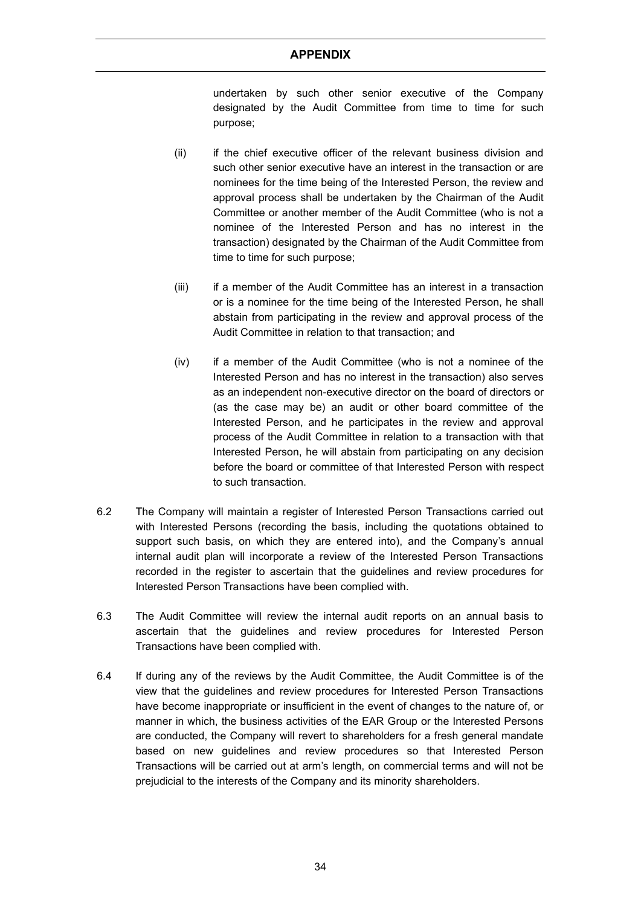undertaken by such other senior executive of the Company designated by the Audit Committee from time to time for such purpose;

- (ii) if the chief executive officer of the relevant business division and such other senior executive have an interest in the transaction or are nominees for the time being of the Interested Person, the review and approval process shall be undertaken by the Chairman of the Audit Committee or another member of the Audit Committee (who is not a nominee of the Interested Person and has no interest in the transaction) designated by the Chairman of the Audit Committee from time to time for such purpose;
- (iii) if a member of the Audit Committee has an interest in a transaction or is a nominee for the time being of the Interested Person, he shall abstain from participating in the review and approval process of the Audit Committee in relation to that transaction; and
- (iv) if a member of the Audit Committee (who is not a nominee of the Interested Person and has no interest in the transaction) also serves as an independent non-executive director on the board of directors or (as the case may be) an audit or other board committee of the Interested Person, and he participates in the review and approval process of the Audit Committee in relation to a transaction with that Interested Person, he will abstain from participating on any decision before the board or committee of that Interested Person with respect to such transaction.
- 6.2 The Company will maintain a register of Interested Person Transactions carried out with Interested Persons (recording the basis, including the quotations obtained to support such basis, on which they are entered into), and the Company's annual internal audit plan will incorporate a review of the Interested Person Transactions recorded in the register to ascertain that the guidelines and review procedures for Interested Person Transactions have been complied with.
- 6.3 The Audit Committee will review the internal audit reports on an annual basis to ascertain that the guidelines and review procedures for Interested Person Transactions have been complied with.
- 6.4 If during any of the reviews by the Audit Committee, the Audit Committee is of the view that the guidelines and review procedures for Interested Person Transactions have become inappropriate or insufficient in the event of changes to the nature of, or manner in which, the business activities of the EAR Group or the Interested Persons are conducted, the Company will revert to shareholders for a fresh general mandate based on new guidelines and review procedures so that Interested Person Transactions will be carried out at arm's length, on commercial terms and will not be prejudicial to the interests of the Company and its minority shareholders.